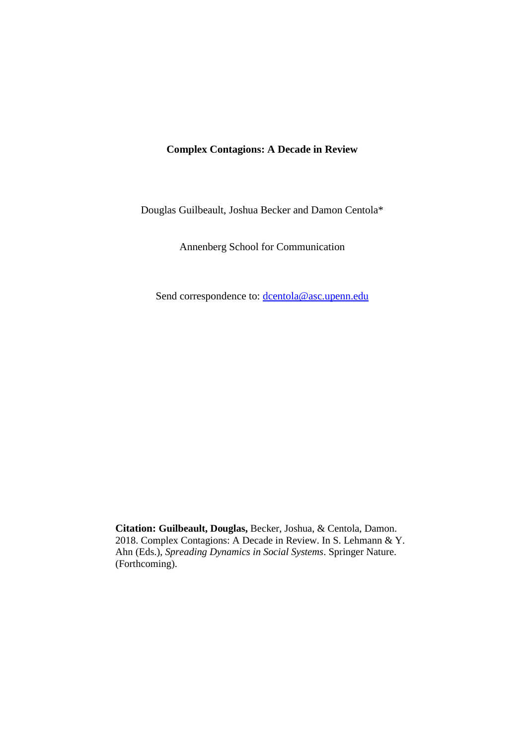# **Complex Contagions: A Decade in Review**

Douglas Guilbeault, Joshua Becker and Damon Centola\*

Annenberg School for Communication

Send correspondence to: [dcentola@asc.upenn.edu](mailto:dcentola@asc.upenn.edu)

**Citation: Guilbeault, Douglas,** Becker, Joshua, & Centola, Damon. 2018. Complex Contagions: A Decade in Review. In S. Lehmann & Y. Ahn (Eds.), *Spreading Dynamics in Social Systems*. Springer Nature. (Forthcoming).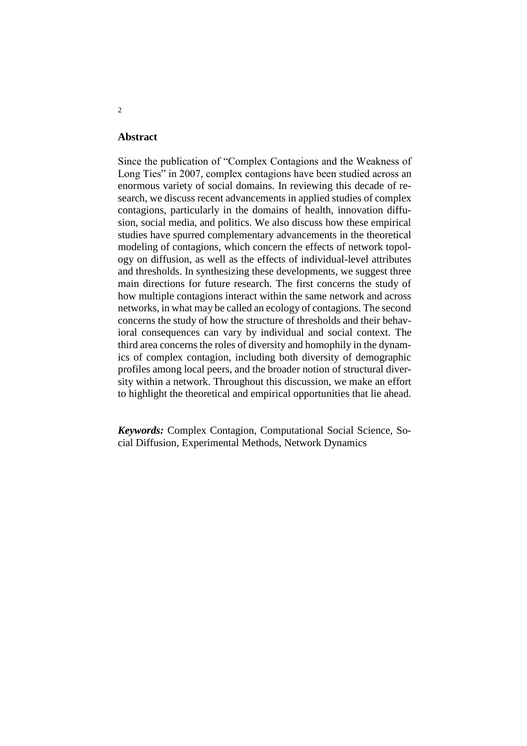#### **Abstract**

Since the publication of "Complex Contagions and the Weakness of Long Ties" in 2007, complex contagions have been studied across an enormous variety of social domains. In reviewing this decade of research, we discuss recent advancements in applied studies of complex contagions, particularly in the domains of health, innovation diffusion, social media, and politics. We also discuss how these empirical studies have spurred complementary advancements in the theoretical modeling of contagions, which concern the effects of network topology on diffusion, as well as the effects of individual-level attributes and thresholds. In synthesizing these developments, we suggest three main directions for future research. The first concerns the study of how multiple contagions interact within the same network and across networks, in what may be called an ecology of contagions. The second concerns the study of how the structure of thresholds and their behavioral consequences can vary by individual and social context. The third area concerns the roles of diversity and homophily in the dynamics of complex contagion, including both diversity of demographic profiles among local peers, and the broader notion of structural diversity within a network. Throughout this discussion, we make an effort to highlight the theoretical and empirical opportunities that lie ahead.

*Keywords:* Complex Contagion, Computational Social Science, Social Diffusion, Experimental Methods, Network Dynamics

2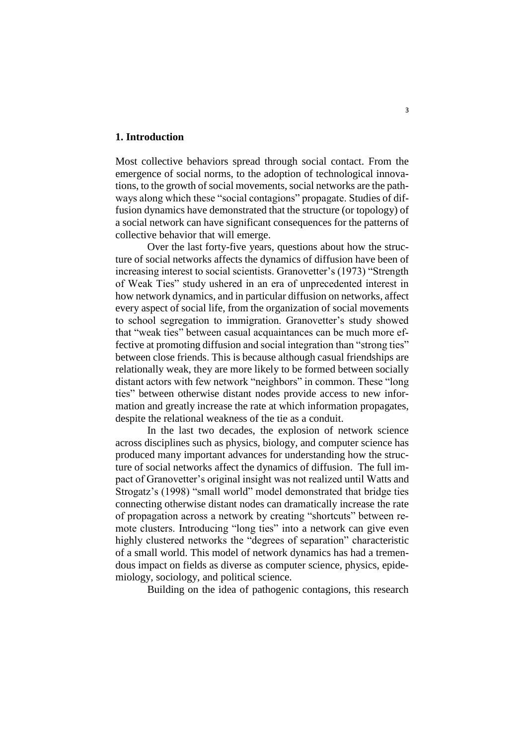### **1. Introduction**

Most collective behaviors spread through social contact. From the emergence of social norms, to the adoption of technological innovations, to the growth of social movements, social networks are the pathways along which these "social contagions" propagate. Studies of diffusion dynamics have demonstrated that the structure (or topology) of a social network can have significant consequences for the patterns of collective behavior that will emerge.

Over the last forty-five years, questions about how the structure of social networks affects the dynamics of diffusion have been of increasing interest to social scientists. Granovetter's (1973) "Strength of Weak Ties" study ushered in an era of unprecedented interest in how network dynamics, and in particular diffusion on networks, affect every aspect of social life, from the organization of social movements to school segregation to immigration. Granovetter's study showed that "weak ties" between casual acquaintances can be much more effective at promoting diffusion and social integration than "strong ties" between close friends. This is because although casual friendships are relationally weak, they are more likely to be formed between socially distant actors with few network "neighbors" in common. These "long ties" between otherwise distant nodes provide access to new information and greatly increase the rate at which information propagates, despite the relational weakness of the tie as a conduit.

In the last two decades, the explosion of network science across disciplines such as physics, biology, and computer science has produced many important advances for understanding how the structure of social networks affect the dynamics of diffusion. The full impact of Granovetter's original insight was not realized until Watts and Strogatz's (1998) "small world" model demonstrated that bridge ties connecting otherwise distant nodes can dramatically increase the rate of propagation across a network by creating "shortcuts" between remote clusters. Introducing "long ties" into a network can give even highly clustered networks the "degrees of separation" characteristic of a small world. This model of network dynamics has had a tremendous impact on fields as diverse as computer science, physics, epidemiology, sociology, and political science.

Building on the idea of pathogenic contagions, this research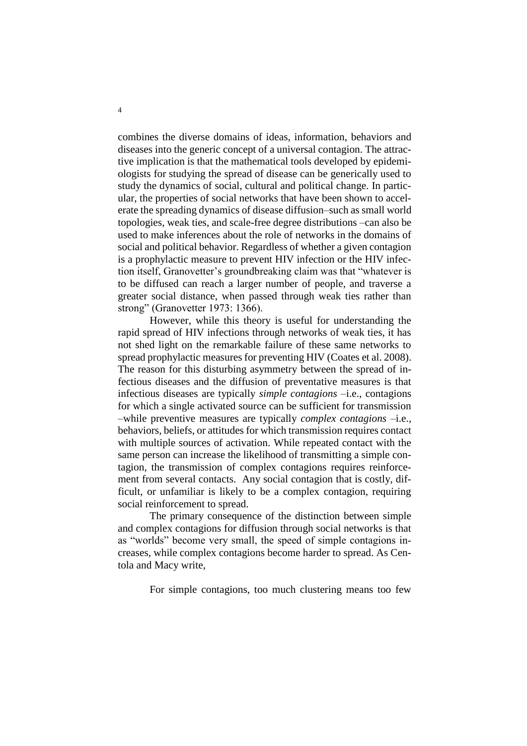combines the diverse domains of ideas, information, behaviors and diseases into the generic concept of a universal contagion. The attractive implication is that the mathematical tools developed by epidemiologists for studying the spread of disease can be generically used to study the dynamics of social, cultural and political change. In particular, the properties of social networks that have been shown to accelerate the spreading dynamics of disease diffusion–such as small world topologies, weak ties, and scale-free degree distributions –can also be used to make inferences about the role of networks in the domains of social and political behavior. Regardless of whether a given contagion is a prophylactic measure to prevent HIV infection or the HIV infection itself, Granovetter's groundbreaking claim was that "whatever is to be diffused can reach a larger number of people, and traverse a greater social distance, when passed through weak ties rather than strong" (Granovetter 1973: 1366).

However, while this theory is useful for understanding the rapid spread of HIV infections through networks of weak ties, it has not shed light on the remarkable failure of these same networks to spread prophylactic measures for preventing HIV (Coates et al. 2008). The reason for this disturbing asymmetry between the spread of infectious diseases and the diffusion of preventative measures is that infectious diseases are typically *simple contagions* –i.e., contagions for which a single activated source can be sufficient for transmission –while preventive measures are typically *complex contagions* –i.e., behaviors, beliefs, or attitudes for which transmission requires contact with multiple sources of activation. While repeated contact with the same person can increase the likelihood of transmitting a simple contagion, the transmission of complex contagions requires reinforcement from several contacts. Any social contagion that is costly, difficult, or unfamiliar is likely to be a complex contagion, requiring social reinforcement to spread.

The primary consequence of the distinction between simple and complex contagions for diffusion through social networks is that as "worlds" become very small, the speed of simple contagions increases, while complex contagions become harder to spread. As Centola and Macy write,

For simple contagions, too much clustering means too few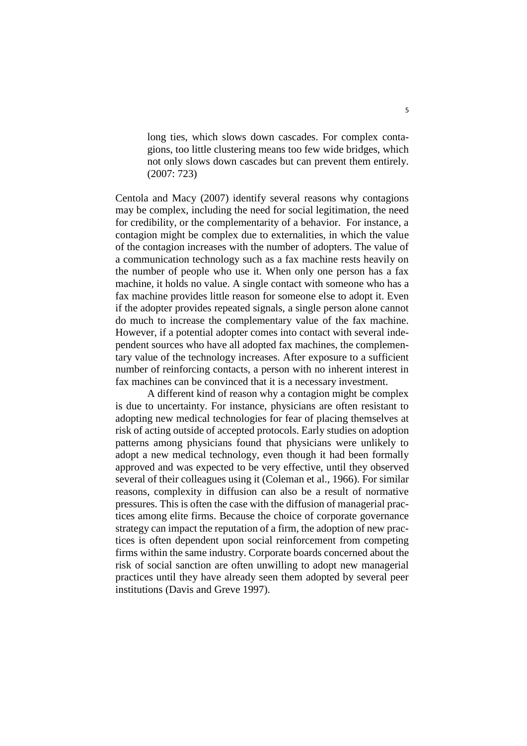long ties, which slows down cascades. For complex contagions, too little clustering means too few wide bridges, which not only slows down cascades but can prevent them entirely. (2007: 723)

Centola and Macy (2007) identify several reasons why contagions may be complex, including the need for social legitimation, the need for credibility, or the complementarity of a behavior. For instance, a contagion might be complex due to externalities, in which the value of the contagion increases with the number of adopters. The value of a communication technology such as a fax machine rests heavily on the number of people who use it. When only one person has a fax machine, it holds no value. A single contact with someone who has a fax machine provides little reason for someone else to adopt it. Even if the adopter provides repeated signals, a single person alone cannot do much to increase the complementary value of the fax machine. However, if a potential adopter comes into contact with several independent sources who have all adopted fax machines, the complementary value of the technology increases. After exposure to a sufficient number of reinforcing contacts, a person with no inherent interest in fax machines can be convinced that it is a necessary investment.

A different kind of reason why a contagion might be complex is due to uncertainty. For instance, physicians are often resistant to adopting new medical technologies for fear of placing themselves at risk of acting outside of accepted protocols. Early studies on adoption patterns among physicians found that physicians were unlikely to adopt a new medical technology, even though it had been formally approved and was expected to be very effective, until they observed several of their colleagues using it (Coleman et al., 1966). For similar reasons, complexity in diffusion can also be a result of normative pressures. This is often the case with the diffusion of managerial practices among elite firms. Because the choice of corporate governance strategy can impact the reputation of a firm, the adoption of new practices is often dependent upon social reinforcement from competing firms within the same industry. Corporate boards concerned about the risk of social sanction are often unwilling to adopt new managerial practices until they have already seen them adopted by several peer institutions (Davis and Greve 1997).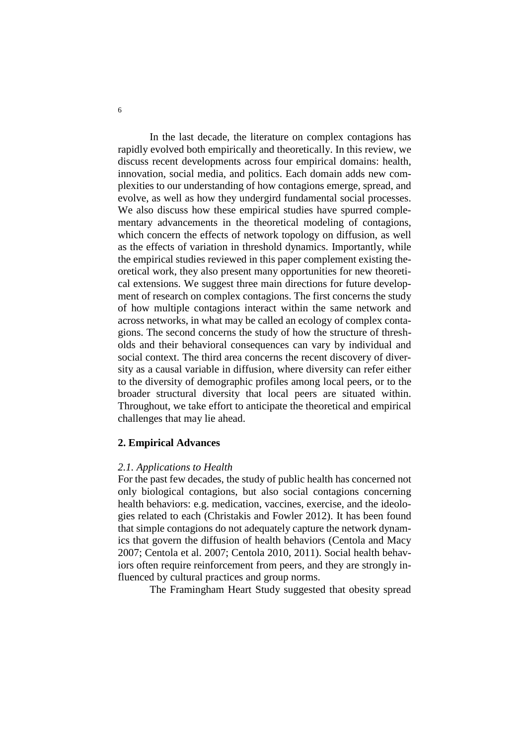In the last decade, the literature on complex contagions has rapidly evolved both empirically and theoretically. In this review, we discuss recent developments across four empirical domains: health, innovation, social media, and politics. Each domain adds new complexities to our understanding of how contagions emerge, spread, and evolve, as well as how they undergird fundamental social processes. We also discuss how these empirical studies have spurred complementary advancements in the theoretical modeling of contagions, which concern the effects of network topology on diffusion, as well as the effects of variation in threshold dynamics. Importantly, while the empirical studies reviewed in this paper complement existing theoretical work, they also present many opportunities for new theoretical extensions. We suggest three main directions for future development of research on complex contagions. The first concerns the study of how multiple contagions interact within the same network and across networks, in what may be called an ecology of complex contagions. The second concerns the study of how the structure of thresholds and their behavioral consequences can vary by individual and social context. The third area concerns the recent discovery of diversity as a causal variable in diffusion, where diversity can refer either to the diversity of demographic profiles among local peers, or to the broader structural diversity that local peers are situated within. Throughout, we take effort to anticipate the theoretical and empirical challenges that may lie ahead.

## **2. Empirical Advances**

#### *2.1. Applications to Health*

For the past few decades, the study of public health has concerned not only biological contagions, but also social contagions concerning health behaviors: e.g. medication, vaccines, exercise, and the ideologies related to each (Christakis and Fowler 2012). It has been found that simple contagions do not adequately capture the network dynamics that govern the diffusion of health behaviors (Centola and Macy 2007; Centola et al. 2007; Centola 2010, 2011). Social health behaviors often require reinforcement from peers, and they are strongly influenced by cultural practices and group norms.

The Framingham Heart Study suggested that obesity spread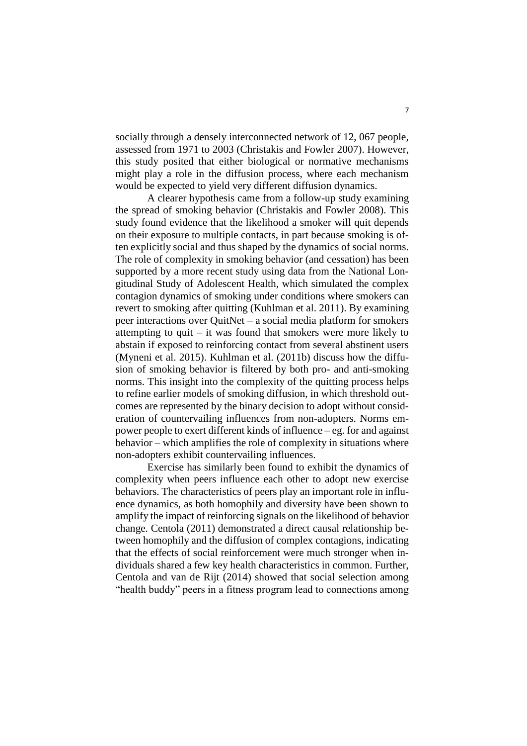socially through a densely interconnected network of 12, 067 people, assessed from 1971 to 2003 (Christakis and Fowler 2007). However, this study posited that either biological or normative mechanisms might play a role in the diffusion process, where each mechanism would be expected to yield very different diffusion dynamics.

A clearer hypothesis came from a follow-up study examining the spread of smoking behavior (Christakis and Fowler 2008). This study found evidence that the likelihood a smoker will quit depends on their exposure to multiple contacts, in part because smoking is often explicitly social and thus shaped by the dynamics of social norms. The role of complexity in smoking behavior (and cessation) has been supported by a more recent study using data from the National Longitudinal Study of Adolescent Health, which simulated the complex contagion dynamics of smoking under conditions where smokers can revert to smoking after quitting (Kuhlman et al. 2011). By examining peer interactions over QuitNet – a social media platform for smokers attempting to quit – it was found that smokers were more likely to abstain if exposed to reinforcing contact from several abstinent users (Myneni et al. 2015). Kuhlman et al. (2011b) discuss how the diffusion of smoking behavior is filtered by both pro- and anti-smoking norms. This insight into the complexity of the quitting process helps to refine earlier models of smoking diffusion, in which threshold outcomes are represented by the binary decision to adopt without consideration of countervailing influences from non-adopters. Norms empower people to exert different kinds of influence – eg. for and against behavior – which amplifies the role of complexity in situations where non-adopters exhibit countervailing influences.

Exercise has similarly been found to exhibit the dynamics of complexity when peers influence each other to adopt new exercise behaviors. The characteristics of peers play an important role in influence dynamics, as both homophily and diversity have been shown to amplify the impact of reinforcing signals on the likelihood of behavior change. Centola (2011) demonstrated a direct causal relationship between homophily and the diffusion of complex contagions, indicating that the effects of social reinforcement were much stronger when individuals shared a few key health characteristics in common. Further, Centola and van de Rijt (2014) showed that social selection among "health buddy" peers in a fitness program lead to connections among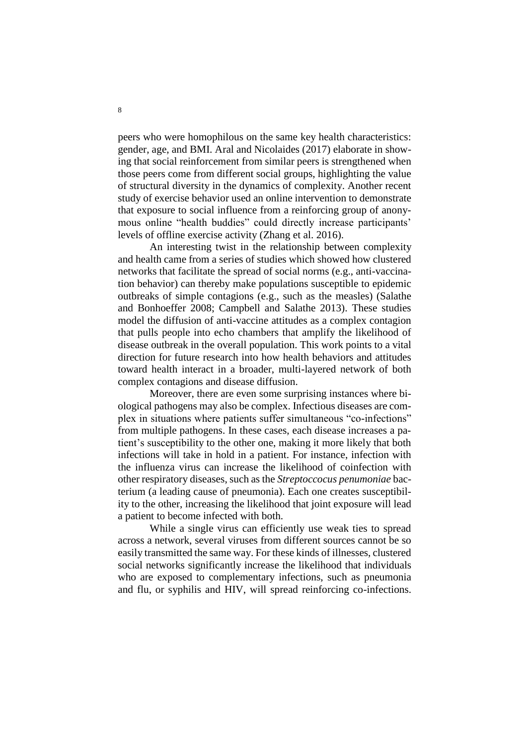peers who were homophilous on the same key health characteristics: gender, age, and BMI. Aral and Nicolaides (2017) elaborate in showing that social reinforcement from similar peers is strengthened when those peers come from different social groups, highlighting the value of structural diversity in the dynamics of complexity. Another recent study of exercise behavior used an online intervention to demonstrate that exposure to social influence from a reinforcing group of anonymous online "health buddies" could directly increase participants' levels of offline exercise activity (Zhang et al. 2016).

An interesting twist in the relationship between complexity and health came from a series of studies which showed how clustered networks that facilitate the spread of social norms (e.g., anti-vaccination behavior) can thereby make populations susceptible to epidemic outbreaks of simple contagions (e.g., such as the measles) (Salathe and Bonhoeffer 2008; Campbell and Salathe 2013). These studies model the diffusion of anti-vaccine attitudes as a complex contagion that pulls people into echo chambers that amplify the likelihood of disease outbreak in the overall population. This work points to a vital direction for future research into how health behaviors and attitudes toward health interact in a broader, multi-layered network of both complex contagions and disease diffusion.

Moreover, there are even some surprising instances where biological pathogens may also be complex. Infectious diseases are complex in situations where patients suffer simultaneous "co-infections" from multiple pathogens. In these cases, each disease increases a patient's susceptibility to the other one, making it more likely that both infections will take in hold in a patient. For instance, infection with the influenza virus can increase the likelihood of coinfection with other respiratory diseases, such as the *Streptoccocus penumoniae* bacterium (a leading cause of pneumonia). Each one creates susceptibility to the other, increasing the likelihood that joint exposure will lead a patient to become infected with both.

While a single virus can efficiently use weak ties to spread across a network, several viruses from different sources cannot be so easily transmitted the same way. For these kinds of illnesses, clustered social networks significantly increase the likelihood that individuals who are exposed to complementary infections, such as pneumonia and flu, or syphilis and HIV, will spread reinforcing co-infections.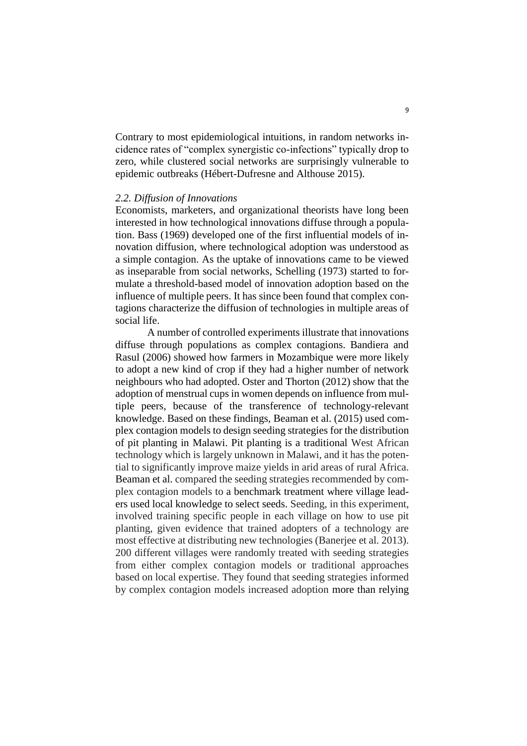Contrary to most epidemiological intuitions, in random networks incidence rates of "complex synergistic co-infections" typically drop to zero, while clustered social networks are surprisingly vulnerable to epidemic outbreaks (Hébert-Dufresne and Althouse 2015).

### *2.2. Diffusion of Innovations*

Economists, marketers, and organizational theorists have long been interested in how technological innovations diffuse through a population. Bass (1969) developed one of the first influential models of innovation diffusion, where technological adoption was understood as a simple contagion. As the uptake of innovations came to be viewed as inseparable from social networks, Schelling (1973) started to formulate a threshold-based model of innovation adoption based on the influence of multiple peers. It has since been found that complex contagions characterize the diffusion of technologies in multiple areas of social life.

A number of controlled experiments illustrate that innovations diffuse through populations as complex contagions. Bandiera and Rasul (2006) showed how farmers in Mozambique were more likely to adopt a new kind of crop if they had a higher number of network neighbours who had adopted. Oster and Thorton (2012) show that the adoption of menstrual cups in women depends on influence from multiple peers, because of the transference of technology-relevant knowledge. Based on these findings, Beaman et al. (2015) used complex contagion models to design seeding strategies for the distribution of pit planting in Malawi. Pit planting is a traditional West African technology which is largely unknown in Malawi, and it has the potential to significantly improve maize yields in arid areas of rural Africa. Beaman et al. compared the seeding strategies recommended by complex contagion models to a benchmark treatment where village leaders used local knowledge to select seeds. Seeding, in this experiment, involved training specific people in each village on how to use pit planting, given evidence that trained adopters of a technology are most effective at distributing new technologies (Banerjee et al. 2013). 200 different villages were randomly treated with seeding strategies from either complex contagion models or traditional approaches based on local expertise. They found that seeding strategies informed by complex contagion models increased adoption more than relying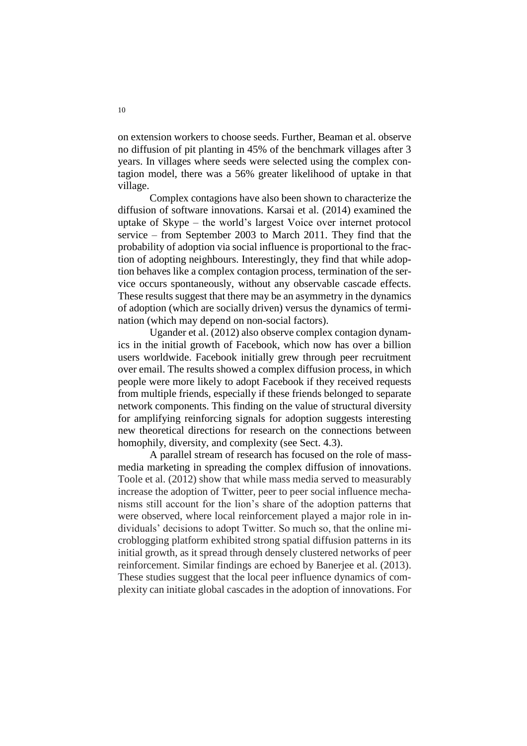on extension workers to choose seeds. Further, Beaman et al. observe no diffusion of pit planting in 45% of the benchmark villages after 3 years. In villages where seeds were selected using the complex contagion model, there was a 56% greater likelihood of uptake in that village.

Complex contagions have also been shown to characterize the diffusion of software innovations. Karsai et al. (2014) examined the uptake of Skype – the world's largest Voice over internet protocol service – from September 2003 to March 2011. They find that the probability of adoption via social influence is proportional to the fraction of adopting neighbours. Interestingly, they find that while adoption behaves like a complex contagion process, termination of the service occurs spontaneously, without any observable cascade effects. These results suggest that there may be an asymmetry in the dynamics of adoption (which are socially driven) versus the dynamics of termination (which may depend on non-social factors).

Ugander et al. (2012) also observe complex contagion dynamics in the initial growth of Facebook, which now has over a billion users worldwide. Facebook initially grew through peer recruitment over email. The results showed a complex diffusion process, in which people were more likely to adopt Facebook if they received requests from multiple friends, especially if these friends belonged to separate network components. This finding on the value of structural diversity for amplifying reinforcing signals for adoption suggests interesting new theoretical directions for research on the connections between homophily, diversity, and complexity (see Sect. 4.3).

A parallel stream of research has focused on the role of massmedia marketing in spreading the complex diffusion of innovations. Toole et al. (2012) show that while mass media served to measurably increase the adoption of Twitter, peer to peer social influence mechanisms still account for the lion's share of the adoption patterns that were observed, where local reinforcement played a major role in individuals' decisions to adopt Twitter. So much so, that the online microblogging platform exhibited strong spatial diffusion patterns in its initial growth, as it spread through densely clustered networks of peer reinforcement. Similar findings are echoed by Banerjee et al. (2013). These studies suggest that the local peer influence dynamics of complexity can initiate global cascades in the adoption of innovations. For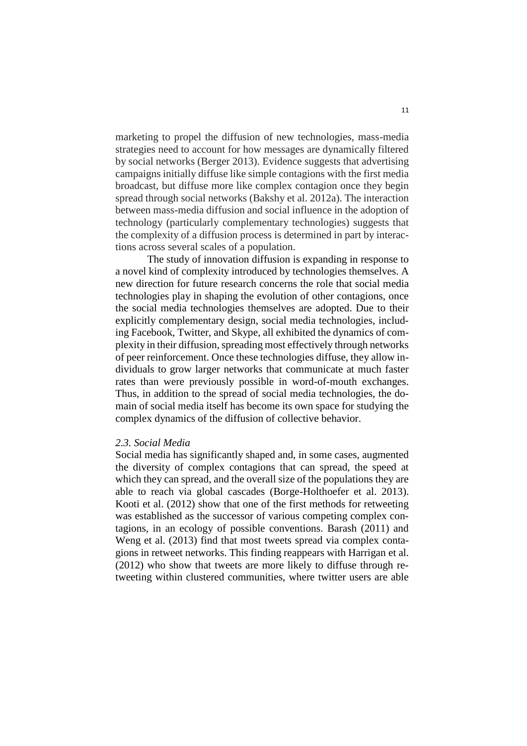marketing to propel the diffusion of new technologies, mass-media strategies need to account for how messages are dynamically filtered by social networks (Berger 2013). Evidence suggests that advertising campaigns initially diffuse like simple contagions with the first media broadcast, but diffuse more like complex contagion once they begin spread through social networks (Bakshy et al. 2012a). The interaction between mass-media diffusion and social influence in the adoption of technology (particularly complementary technologies) suggests that the complexity of a diffusion process is determined in part by interactions across several scales of a population.

The study of innovation diffusion is expanding in response to a novel kind of complexity introduced by technologies themselves. A new direction for future research concerns the role that social media technologies play in shaping the evolution of other contagions, once the social media technologies themselves are adopted. Due to their explicitly complementary design, social media technologies, including Facebook, Twitter, and Skype, all exhibited the dynamics of complexity in their diffusion, spreading most effectively through networks of peer reinforcement. Once these technologies diffuse, they allow individuals to grow larger networks that communicate at much faster rates than were previously possible in word-of-mouth exchanges. Thus, in addition to the spread of social media technologies, the domain of social media itself has become its own space for studying the complex dynamics of the diffusion of collective behavior.

### *2.3. Social Media*

Social media has significantly shaped and, in some cases, augmented the diversity of complex contagions that can spread, the speed at which they can spread, and the overall size of the populations they are able to reach via global cascades (Borge-Holthoefer et al. 2013). Kooti et al. (2012) show that one of the first methods for retweeting was established as the successor of various competing complex contagions, in an ecology of possible conventions. Barash (2011) and Weng et al. (2013) find that most tweets spread via complex contagions in retweet networks. This finding reappears with Harrigan et al. (2012) who show that tweets are more likely to diffuse through retweeting within clustered communities, where twitter users are able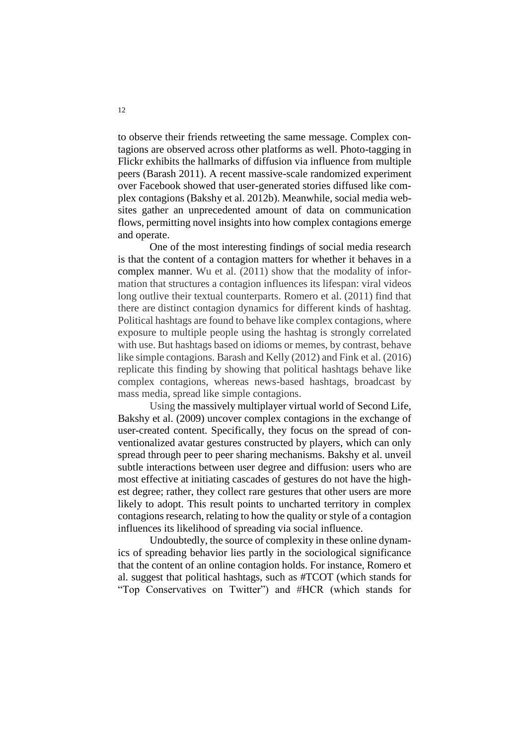to observe their friends retweeting the same message. Complex contagions are observed across other platforms as well. Photo-tagging in Flickr exhibits the hallmarks of diffusion via influence from multiple peers (Barash 2011). A recent massive-scale randomized experiment over Facebook showed that user-generated stories diffused like complex contagions (Bakshy et al. 2012b). Meanwhile, social media websites gather an unprecedented amount of data on communication flows, permitting novel insights into how complex contagions emerge and operate.

One of the most interesting findings of social media research is that the content of a contagion matters for whether it behaves in a complex manner. Wu et al. (2011) show that the modality of information that structures a contagion influences its lifespan: viral videos long outlive their textual counterparts. Romero et al. (2011) find that there are distinct contagion dynamics for different kinds of hashtag. Political hashtags are found to behave like complex contagions, where exposure to multiple people using the hashtag is strongly correlated with use. But hashtags based on idioms or memes, by contrast, behave like simple contagions. Barash and Kelly (2012) and Fink et al. (2016) replicate this finding by showing that political hashtags behave like complex contagions, whereas news-based hashtags, broadcast by mass media, spread like simple contagions.

Using the massively multiplayer virtual world of Second Life, Bakshy et al. (2009) uncover complex contagions in the exchange of user-created content. Specifically, they focus on the spread of conventionalized avatar gestures constructed by players, which can only spread through peer to peer sharing mechanisms. Bakshy et al. unveil subtle interactions between user degree and diffusion: users who are most effective at initiating cascades of gestures do not have the highest degree; rather, they collect rare gestures that other users are more likely to adopt. This result points to uncharted territory in complex contagions research, relating to how the quality or style of a contagion influences its likelihood of spreading via social influence.

Undoubtedly, the source of complexity in these online dynamics of spreading behavior lies partly in the sociological significance that the content of an online contagion holds. For instance, Romero et al. suggest that political hashtags, such as #TCOT (which stands for "Top Conservatives on Twitter") and #HCR (which stands for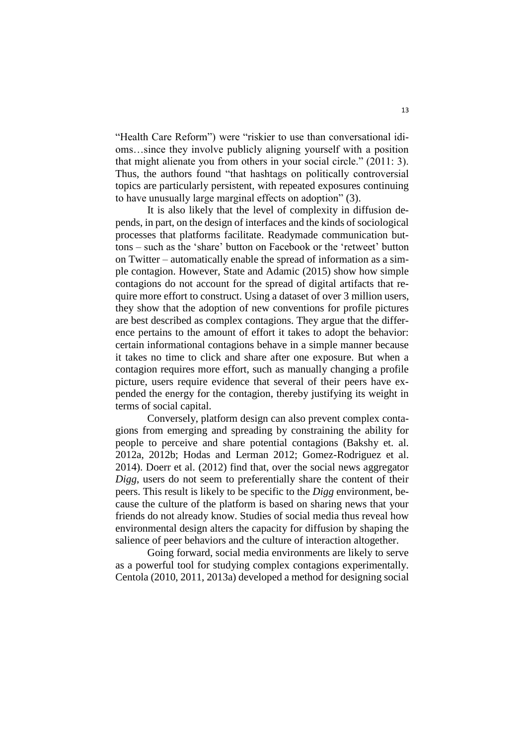"Health Care Reform") were "riskier to use than conversational idioms…since they involve publicly aligning yourself with a position that might alienate you from others in your social circle." (2011: 3). Thus, the authors found "that hashtags on politically controversial topics are particularly persistent, with repeated exposures continuing to have unusually large marginal effects on adoption" (3).

It is also likely that the level of complexity in diffusion depends, in part, on the design of interfaces and the kinds of sociological processes that platforms facilitate. Readymade communication buttons – such as the 'share' button on Facebook or the 'retweet' button on Twitter – automatically enable the spread of information as a simple contagion. However, State and Adamic (2015) show how simple contagions do not account for the spread of digital artifacts that require more effort to construct. Using a dataset of over 3 million users, they show that the adoption of new conventions for profile pictures are best described as complex contagions. They argue that the difference pertains to the amount of effort it takes to adopt the behavior: certain informational contagions behave in a simple manner because it takes no time to click and share after one exposure. But when a contagion requires more effort, such as manually changing a profile picture, users require evidence that several of their peers have expended the energy for the contagion, thereby justifying its weight in terms of social capital.

Conversely, platform design can also prevent complex contagions from emerging and spreading by constraining the ability for people to perceive and share potential contagions (Bakshy et. al. 2012a, 2012b; Hodas and Lerman 2012; Gomez-Rodriguez et al. 2014). Doerr et al. (2012) find that, over the social news aggregator *Digg*, users do not seem to preferentially share the content of their peers. This result is likely to be specific to the *Digg* environment, because the culture of the platform is based on sharing news that your friends do not already know. Studies of social media thus reveal how environmental design alters the capacity for diffusion by shaping the salience of peer behaviors and the culture of interaction altogether.

Going forward, social media environments are likely to serve as a powerful tool for studying complex contagions experimentally. Centola (2010, 2011, 2013a) developed a method for designing social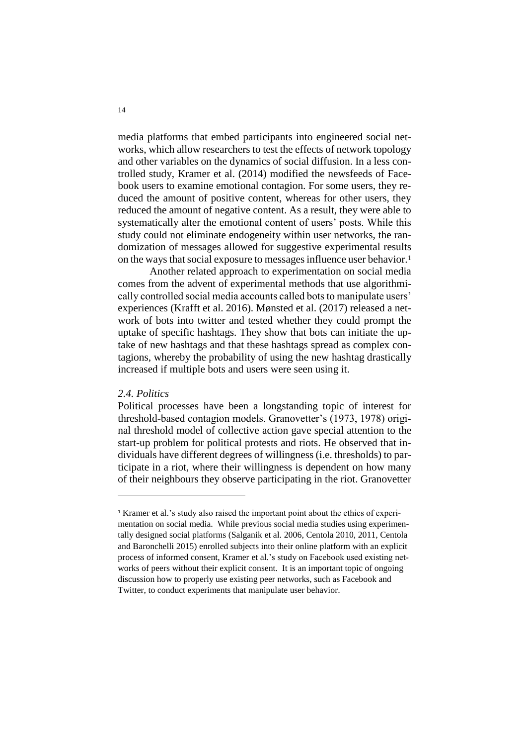media platforms that embed participants into engineered social networks, which allow researchers to test the effects of network topology and other variables on the dynamics of social diffusion. In a less controlled study, Kramer et al. (2014) modified the newsfeeds of Facebook users to examine emotional contagion. For some users, they reduced the amount of positive content, whereas for other users, they reduced the amount of negative content. As a result, they were able to systematically alter the emotional content of users' posts. While this study could not eliminate endogeneity within user networks, the randomization of messages allowed for suggestive experimental results on the ways that social exposure to messages influence user behavior.<sup>1</sup>

Another related approach to experimentation on social media comes from the advent of experimental methods that use algorithmically controlled social media accounts called bots to manipulate users' experiences (Krafft et al. 2016). Mønsted et al. (2017) released a network of bots into twitter and tested whether they could prompt the uptake of specific hashtags. They show that bots can initiate the uptake of new hashtags and that these hashtags spread as complex contagions, whereby the probability of using the new hashtag drastically increased if multiple bots and users were seen using it.

### *2.4. Politics*

1

Political processes have been a longstanding topic of interest for threshold-based contagion models. Granovetter's (1973, 1978) original threshold model of collective action gave special attention to the start-up problem for political protests and riots. He observed that individuals have different degrees of willingness (i.e. thresholds) to participate in a riot, where their willingness is dependent on how many of their neighbours they observe participating in the riot. Granovetter

<sup>&</sup>lt;sup>1</sup> Kramer et al.'s study also raised the important point about the ethics of experimentation on social media. While previous social media studies using experimentally designed social platforms (Salganik et al. 2006, Centola 2010, 2011, Centola and Baronchelli 2015) enrolled subjects into their online platform with an explicit process of informed consent, Kramer et al.'s study on Facebook used existing networks of peers without their explicit consent. It is an important topic of ongoing discussion how to properly use existing peer networks, such as Facebook and Twitter, to conduct experiments that manipulate user behavior.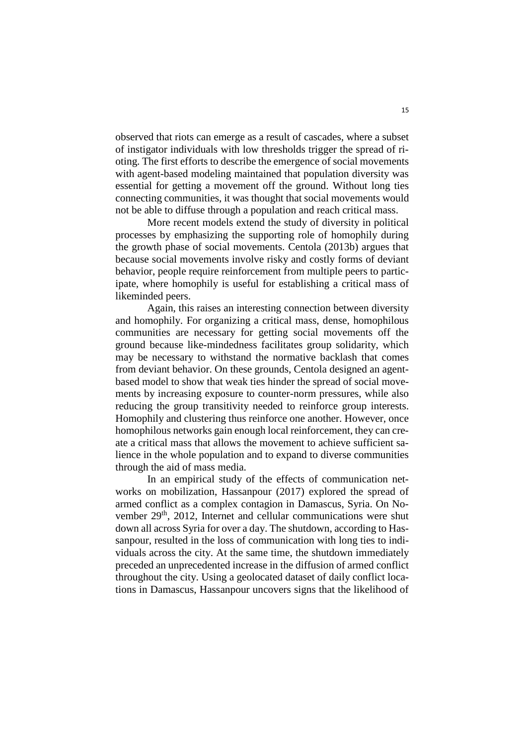observed that riots can emerge as a result of cascades, where a subset of instigator individuals with low thresholds trigger the spread of rioting. The first efforts to describe the emergence of social movements with agent-based modeling maintained that population diversity was essential for getting a movement off the ground. Without long ties connecting communities, it was thought that social movements would not be able to diffuse through a population and reach critical mass.

More recent models extend the study of diversity in political processes by emphasizing the supporting role of homophily during the growth phase of social movements. Centola (2013b) argues that because social movements involve risky and costly forms of deviant behavior, people require reinforcement from multiple peers to participate, where homophily is useful for establishing a critical mass of likeminded peers.

Again, this raises an interesting connection between diversity and homophily. For organizing a critical mass, dense, homophilous communities are necessary for getting social movements off the ground because like-mindedness facilitates group solidarity, which may be necessary to withstand the normative backlash that comes from deviant behavior. On these grounds, Centola designed an agentbased model to show that weak ties hinder the spread of social movements by increasing exposure to counter-norm pressures, while also reducing the group transitivity needed to reinforce group interests. Homophily and clustering thus reinforce one another. However, once homophilous networks gain enough local reinforcement, they can create a critical mass that allows the movement to achieve sufficient salience in the whole population and to expand to diverse communities through the aid of mass media.

In an empirical study of the effects of communication networks on mobilization, Hassanpour (2017) explored the spread of armed conflict as a complex contagion in Damascus, Syria. On November 29<sup>th</sup>, 2012, Internet and cellular communications were shut down all across Syria for over a day. The shutdown, according to Hassanpour, resulted in the loss of communication with long ties to individuals across the city. At the same time, the shutdown immediately preceded an unprecedented increase in the diffusion of armed conflict throughout the city. Using a geolocated dataset of daily conflict locations in Damascus, Hassanpour uncovers signs that the likelihood of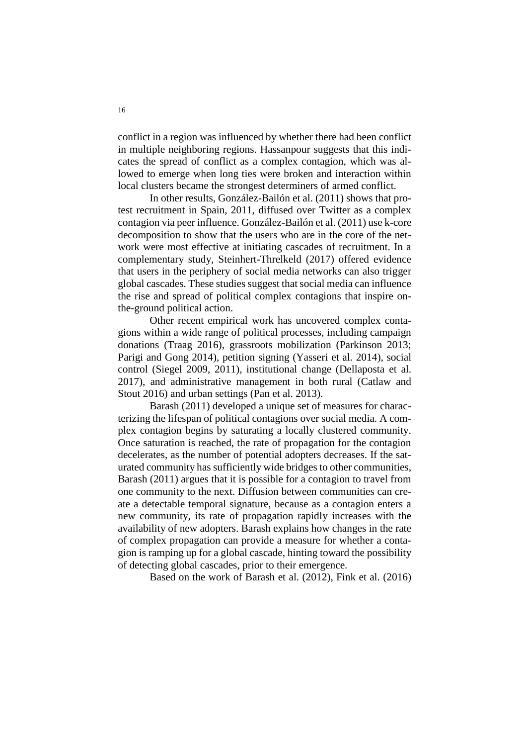conflict in a region was influenced by whether there had been conflict in multiple neighboring regions. Hassanpour suggests that this indicates the spread of conflict as a complex contagion, which was allowed to emerge when long ties were broken and interaction within local clusters became the strongest determiners of armed conflict.

In other results, González-Bailón et al. (2011) shows that protest recruitment in Spain, 2011, diffused over Twitter as a complex contagion via peer influence. González-Bailón et al. (2011) use k-core decomposition to show that the users who are in the core of the network were most effective at initiating cascades of recruitment. In a complementary study, Steinhert-Threlkeld (2017) offered evidence that users in the periphery of social media networks can also trigger global cascades. These studies suggest that social media can influence the rise and spread of political complex contagions that inspire onthe-ground political action.

Other recent empirical work has uncovered complex contagions within a wide range of political processes, including campaign donations (Traag 2016), grassroots mobilization (Parkinson 2013; Parigi and Gong 2014), petition signing (Yasseri et al. 2014), social control (Siegel 2009, 2011), institutional change (Dellaposta et al. 2017), and administrative management in both rural (Catlaw and Stout 2016) and urban settings (Pan et al. 2013).

Barash (2011) developed a unique set of measures for characterizing the lifespan of political contagions over social media. A complex contagion begins by saturating a locally clustered community. Once saturation is reached, the rate of propagation for the contagion decelerates, as the number of potential adopters decreases. If the saturated community has sufficiently wide bridges to other communities, Barash (2011) argues that it is possible for a contagion to travel from one community to the next. Diffusion between communities can create a detectable temporal signature, because as a contagion enters a new community, its rate of propagation rapidly increases with the availability of new adopters. Barash explains how changes in the rate of complex propagation can provide a measure for whether a contagion is ramping up for a global cascade, hinting toward the possibility of detecting global cascades, prior to their emergence.

Based on the work of Barash et al. (2012), Fink et al. (2016)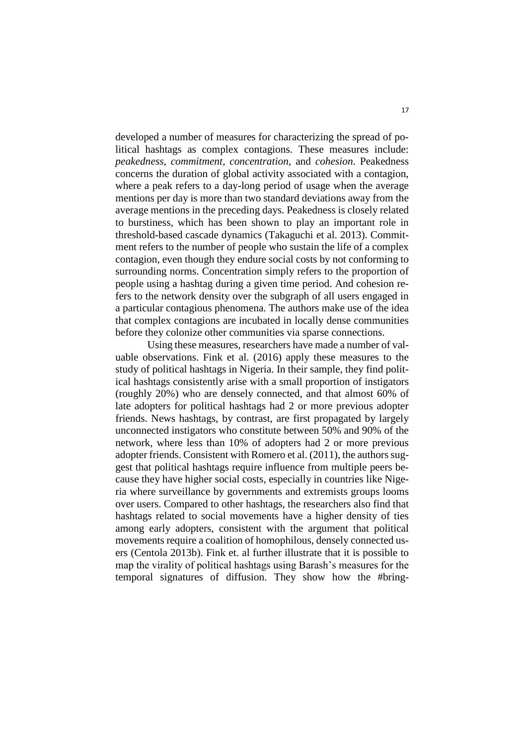developed a number of measures for characterizing the spread of political hashtags as complex contagions. These measures include: *peakedness, commitment, concentration,* and *cohesion*. Peakedness concerns the duration of global activity associated with a contagion, where a peak refers to a day-long period of usage when the average mentions per day is more than two standard deviations away from the average mentions in the preceding days. Peakedness is closely related to burstiness, which has been shown to play an important role in threshold-based cascade dynamics (Takaguchi et al. 2013). Commitment refers to the number of people who sustain the life of a complex contagion, even though they endure social costs by not conforming to surrounding norms. Concentration simply refers to the proportion of people using a hashtag during a given time period. And cohesion refers to the network density over the subgraph of all users engaged in a particular contagious phenomena. The authors make use of the idea that complex contagions are incubated in locally dense communities before they colonize other communities via sparse connections.

Using these measures, researchers have made a number of valuable observations. Fink et al. (2016) apply these measures to the study of political hashtags in Nigeria. In their sample, they find political hashtags consistently arise with a small proportion of instigators (roughly 20%) who are densely connected, and that almost 60% of late adopters for political hashtags had 2 or more previous adopter friends. News hashtags, by contrast, are first propagated by largely unconnected instigators who constitute between 50% and 90% of the network, where less than 10% of adopters had 2 or more previous adopter friends. Consistent with Romero et al. (2011), the authors suggest that political hashtags require influence from multiple peers because they have higher social costs, especially in countries like Nigeria where surveillance by governments and extremists groups looms over users. Compared to other hashtags, the researchers also find that hashtags related to social movements have a higher density of ties among early adopters, consistent with the argument that political movements require a coalition of homophilous, densely connected users (Centola 2013b). Fink et. al further illustrate that it is possible to map the virality of political hashtags using Barash's measures for the temporal signatures of diffusion. They show how the #bring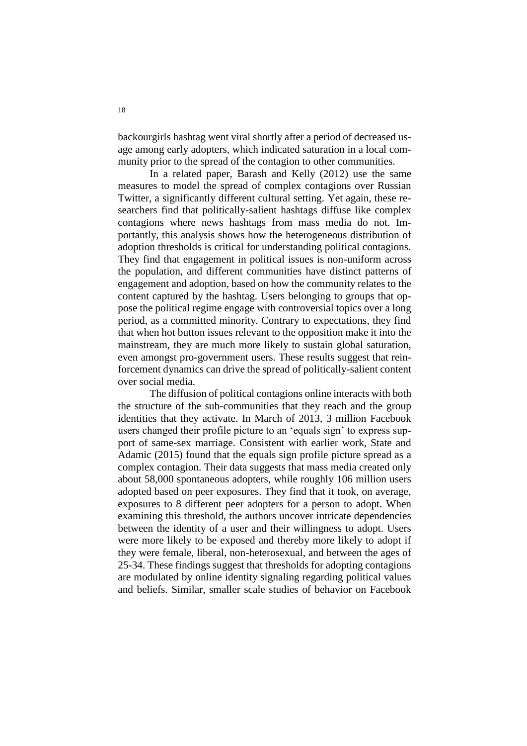backourgirls hashtag went viral shortly after a period of decreased usage among early adopters, which indicated saturation in a local community prior to the spread of the contagion to other communities.

In a related paper, Barash and Kelly (2012) use the same measures to model the spread of complex contagions over Russian Twitter, a significantly different cultural setting. Yet again, these researchers find that politically-salient hashtags diffuse like complex contagions where news hashtags from mass media do not. Importantly, this analysis shows how the heterogeneous distribution of adoption thresholds is critical for understanding political contagions. They find that engagement in political issues is non-uniform across the population, and different communities have distinct patterns of engagement and adoption, based on how the community relates to the content captured by the hashtag. Users belonging to groups that oppose the political regime engage with controversial topics over a long period, as a committed minority. Contrary to expectations, they find that when hot button issues relevant to the opposition make it into the mainstream, they are much more likely to sustain global saturation, even amongst pro-government users. These results suggest that reinforcement dynamics can drive the spread of politically-salient content over social media.

The diffusion of political contagions online interacts with both the structure of the sub-communities that they reach and the group identities that they activate. In March of 2013, 3 million Facebook users changed their profile picture to an 'equals sign' to express support of same-sex marriage. Consistent with earlier work, State and Adamic (2015) found that the equals sign profile picture spread as a complex contagion. Their data suggests that mass media created only about 58,000 spontaneous adopters, while roughly 106 million users adopted based on peer exposures. They find that it took, on average, exposures to 8 different peer adopters for a person to adopt. When examining this threshold, the authors uncover intricate dependencies between the identity of a user and their willingness to adopt. Users were more likely to be exposed and thereby more likely to adopt if they were female, liberal, non-heterosexual, and between the ages of 25-34. These findings suggest that thresholds for adopting contagions are modulated by online identity signaling regarding political values and beliefs. Similar, smaller scale studies of behavior on Facebook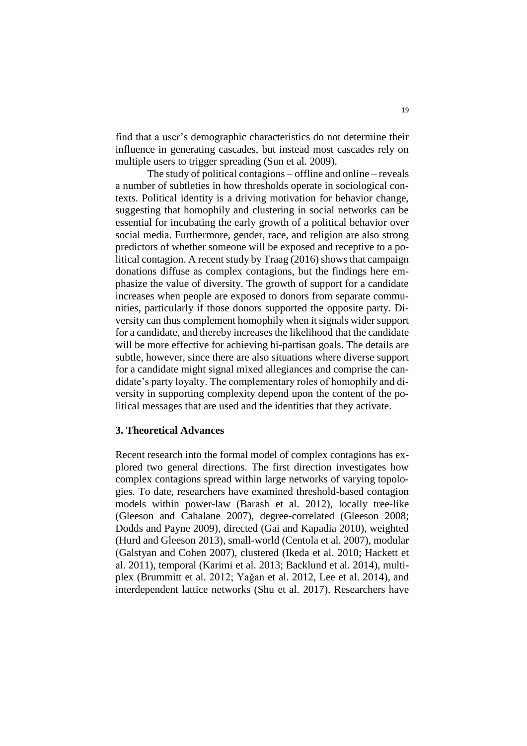find that a user's demographic characteristics do not determine their influence in generating cascades, but instead most cascades rely on multiple users to trigger spreading (Sun et al. 2009).

The study of political contagions – offline and online – reveals a number of subtleties in how thresholds operate in sociological contexts. Political identity is a driving motivation for behavior change, suggesting that homophily and clustering in social networks can be essential for incubating the early growth of a political behavior over social media. Furthermore, gender, race, and religion are also strong predictors of whether someone will be exposed and receptive to a political contagion. A recent study by Traag (2016) shows that campaign donations diffuse as complex contagions, but the findings here emphasize the value of diversity. The growth of support for a candidate increases when people are exposed to donors from separate communities, particularly if those donors supported the opposite party. Diversity can thus complement homophily when it signals wider support for a candidate, and thereby increases the likelihood that the candidate will be more effective for achieving bi-partisan goals. The details are subtle, however, since there are also situations where diverse support for a candidate might signal mixed allegiances and comprise the candidate's party loyalty. The complementary roles of homophily and diversity in supporting complexity depend upon the content of the political messages that are used and the identities that they activate.

### **3. Theoretical Advances**

Recent research into the formal model of complex contagions has explored two general directions. The first direction investigates how complex contagions spread within large networks of varying topologies. To date, researchers have examined threshold-based contagion models within power-law (Barash et al. 2012), locally tree-like (Gleeson and Cahalane 2007), degree-correlated (Gleeson 2008; Dodds and Payne 2009), directed (Gai and Kapadia 2010), weighted (Hurd and Gleeson 2013), small-world (Centola et al. 2007), modular (Galstyan and Cohen 2007), clustered (Ikeda et al. 2010; Hackett et al. 2011), temporal (Karimi et al. 2013; Backlund et al. 2014), multiplex (Brummitt et al. 2012; Yağan et al. 2012, Lee et al. 2014), and interdependent lattice networks (Shu et al. 2017). Researchers have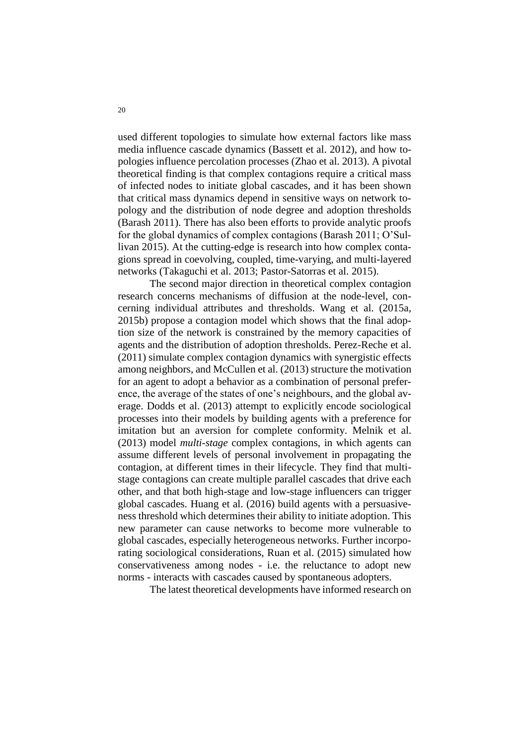used different topologies to simulate how external factors like mass media influence cascade dynamics (Bassett et al. 2012), and how topologies influence percolation processes (Zhao et al. 2013). A pivotal theoretical finding is that complex contagions require a critical mass of infected nodes to initiate global cascades, and it has been shown that critical mass dynamics depend in sensitive ways on network topology and the distribution of node degree and adoption thresholds (Barash 2011). There has also been efforts to provide analytic proofs for the global dynamics of complex contagions (Barash 2011; O'Sullivan 2015). At the cutting-edge is research into how complex contagions spread in coevolving, coupled, time-varying, and multi-layered networks (Takaguchi et al. 2013; Pastor-Satorras et al. 2015).

The second major direction in theoretical complex contagion research concerns mechanisms of diffusion at the node-level, concerning individual attributes and thresholds. Wang et al. (2015a, 2015b) propose a contagion model which shows that the final adoption size of the network is constrained by the memory capacities of agents and the distribution of adoption thresholds. Perez-Reche et al. (2011) simulate complex contagion dynamics with synergistic effects among neighbors, and McCullen et al. (2013) structure the motivation for an agent to adopt a behavior as a combination of personal preference, the average of the states of one's neighbours, and the global average. Dodds et al. (2013) attempt to explicitly encode sociological processes into their models by building agents with a preference for imitation but an aversion for complete conformity. Melnik et al. (2013) model *multi-stage* complex contagions, in which agents can assume different levels of personal involvement in propagating the contagion, at different times in their lifecycle. They find that multistage contagions can create multiple parallel cascades that drive each other, and that both high-stage and low-stage influencers can trigger global cascades. Huang et al. (2016) build agents with a persuasiveness threshold which determines their ability to initiate adoption. This new parameter can cause networks to become more vulnerable to global cascades, especially heterogeneous networks. Further incorporating sociological considerations, Ruan et al. (2015) simulated how conservativeness among nodes - i.e. the reluctance to adopt new norms - interacts with cascades caused by spontaneous adopters.

The latest theoretical developments have informed research on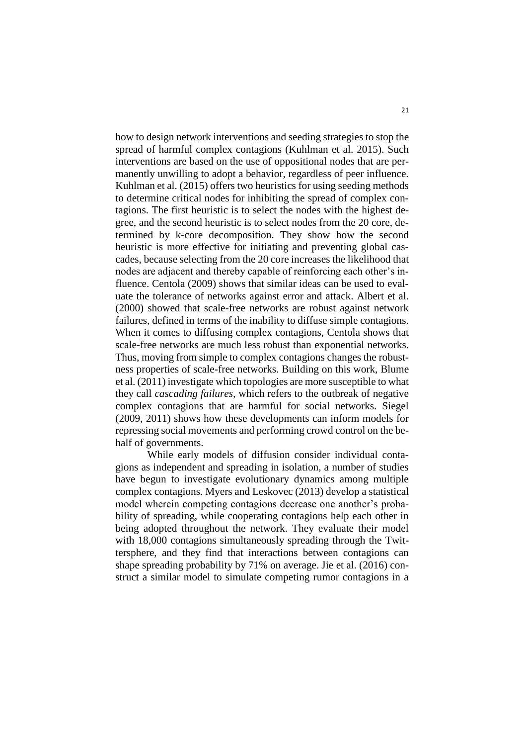how to design network interventions and seeding strategies to stop the spread of harmful complex contagions (Kuhlman et al. 2015). Such interventions are based on the use of oppositional nodes that are permanently unwilling to adopt a behavior, regardless of peer influence. Kuhlman et al. (2015) offers two heuristics for using seeding methods to determine critical nodes for inhibiting the spread of complex contagions. The first heuristic is to select the nodes with the highest degree, and the second heuristic is to select nodes from the 20 core, determined by k-core decomposition. They show how the second heuristic is more effective for initiating and preventing global cascades, because selecting from the 20 core increases the likelihood that nodes are adjacent and thereby capable of reinforcing each other's influence. Centola (2009) shows that similar ideas can be used to evaluate the tolerance of networks against error and attack. Albert et al. (2000) showed that scale-free networks are robust against network failures, defined in terms of the inability to diffuse simple contagions. When it comes to diffusing complex contagions, Centola shows that scale-free networks are much less robust than exponential networks. Thus, moving from simple to complex contagions changes the robustness properties of scale-free networks. Building on this work, Blume et al. (2011) investigate which topologies are more susceptible to what they call *cascading failures*, which refers to the outbreak of negative complex contagions that are harmful for social networks. Siegel (2009, 2011) shows how these developments can inform models for repressing social movements and performing crowd control on the behalf of governments.

While early models of diffusion consider individual contagions as independent and spreading in isolation, a number of studies have begun to investigate evolutionary dynamics among multiple complex contagions. Myers and Leskovec (2013) develop a statistical model wherein competing contagions decrease one another's probability of spreading, while cooperating contagions help each other in being adopted throughout the network. They evaluate their model with 18,000 contagions simultaneously spreading through the Twittersphere, and they find that interactions between contagions can shape spreading probability by 71% on average. Jie et al. (2016) construct a similar model to simulate competing rumor contagions in a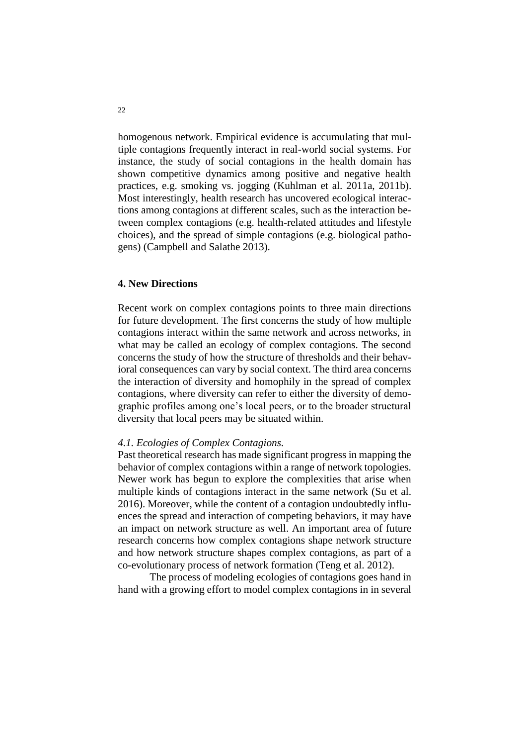homogenous network. Empirical evidence is accumulating that multiple contagions frequently interact in real-world social systems. For instance, the study of social contagions in the health domain has shown competitive dynamics among positive and negative health practices, e.g. smoking vs. jogging (Kuhlman et al. 2011a, 2011b). Most interestingly, health research has uncovered ecological interactions among contagions at different scales, such as the interaction between complex contagions (e.g. health-related attitudes and lifestyle choices), and the spread of simple contagions (e.g. biological pathogens) (Campbell and Salathe 2013).

### **4. New Directions**

Recent work on complex contagions points to three main directions for future development. The first concerns the study of how multiple contagions interact within the same network and across networks, in what may be called an ecology of complex contagions. The second concerns the study of how the structure of thresholds and their behavioral consequences can vary by social context. The third area concerns the interaction of diversity and homophily in the spread of complex contagions, where diversity can refer to either the diversity of demographic profiles among one's local peers, or to the broader structural diversity that local peers may be situated within.

#### *4.1. Ecologies of Complex Contagions.*

Past theoretical research has made significant progress in mapping the behavior of complex contagions within a range of network topologies. Newer work has begun to explore the complexities that arise when multiple kinds of contagions interact in the same network (Su et al. 2016). Moreover, while the content of a contagion undoubtedly influences the spread and interaction of competing behaviors, it may have an impact on network structure as well. An important area of future research concerns how complex contagions shape network structure and how network structure shapes complex contagions, as part of a co-evolutionary process of network formation (Teng et al. 2012).

The process of modeling ecologies of contagions goes hand in hand with a growing effort to model complex contagions in in several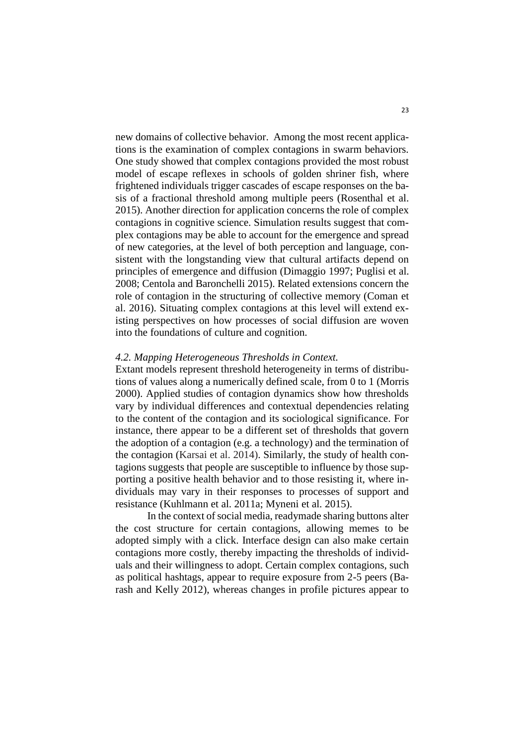new domains of collective behavior. Among the most recent applications is the examination of complex contagions in swarm behaviors. One study showed that complex contagions provided the most robust model of escape reflexes in schools of golden shriner fish, where frightened individuals trigger cascades of escape responses on the basis of a fractional threshold among multiple peers (Rosenthal et al. 2015). Another direction for application concerns the role of complex contagions in cognitive science. Simulation results suggest that complex contagions may be able to account for the emergence and spread of new categories, at the level of both perception and language, consistent with the longstanding view that cultural artifacts depend on principles of emergence and diffusion (Dimaggio 1997; Puglisi et al. 2008; Centola and Baronchelli 2015). Related extensions concern the role of contagion in the structuring of collective memory (Coman et al. 2016). Situating complex contagions at this level will extend existing perspectives on how processes of social diffusion are woven into the foundations of culture and cognition.

#### *4.2. Mapping Heterogeneous Thresholds in Context.*

Extant models represent threshold heterogeneity in terms of distributions of values along a numerically defined scale, from 0 to 1 (Morris 2000). Applied studies of contagion dynamics show how thresholds vary by individual differences and contextual dependencies relating to the content of the contagion and its sociological significance. For instance, there appear to be a different set of thresholds that govern the adoption of a contagion (e.g. a technology) and the termination of the contagion (Karsai et al. 2014). Similarly, the study of health contagions suggests that people are susceptible to influence by those supporting a positive health behavior and to those resisting it, where individuals may vary in their responses to processes of support and resistance (Kuhlmann et al. 2011a; Myneni et al. 2015).

In the context of social media, readymade sharing buttons alter the cost structure for certain contagions, allowing memes to be adopted simply with a click. Interface design can also make certain contagions more costly, thereby impacting the thresholds of individuals and their willingness to adopt. Certain complex contagions, such as political hashtags, appear to require exposure from 2-5 peers (Barash and Kelly 2012), whereas changes in profile pictures appear to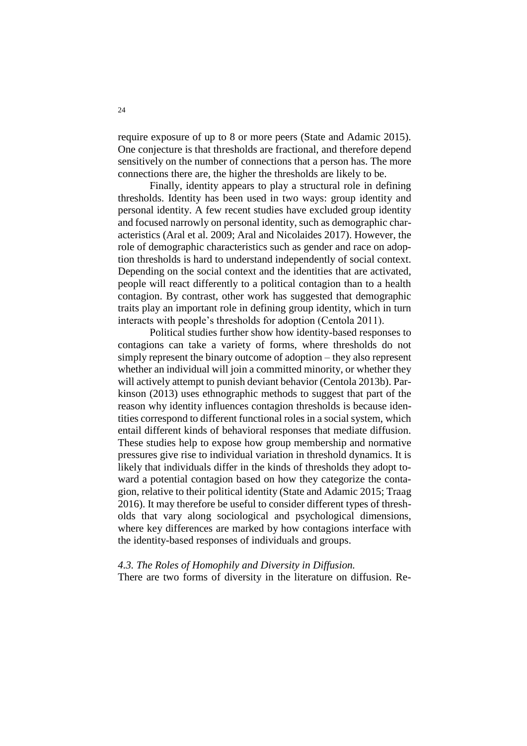require exposure of up to 8 or more peers (State and Adamic 2015). One conjecture is that thresholds are fractional, and therefore depend sensitively on the number of connections that a person has. The more connections there are, the higher the thresholds are likely to be.

Finally, identity appears to play a structural role in defining thresholds. Identity has been used in two ways: group identity and personal identity. A few recent studies have excluded group identity and focused narrowly on personal identity, such as demographic characteristics (Aral et al. 2009; Aral and Nicolaides 2017). However, the role of demographic characteristics such as gender and race on adoption thresholds is hard to understand independently of social context. Depending on the social context and the identities that are activated, people will react differently to a political contagion than to a health contagion. By contrast, other work has suggested that demographic traits play an important role in defining group identity, which in turn interacts with people's thresholds for adoption (Centola 2011).

Political studies further show how identity-based responses to contagions can take a variety of forms, where thresholds do not simply represent the binary outcome of adoption – they also represent whether an individual will join a committed minority, or whether they will actively attempt to punish deviant behavior (Centola 2013b). Parkinson (2013) uses ethnographic methods to suggest that part of the reason why identity influences contagion thresholds is because identities correspond to different functional roles in a social system, which entail different kinds of behavioral responses that mediate diffusion. These studies help to expose how group membership and normative pressures give rise to individual variation in threshold dynamics. It is likely that individuals differ in the kinds of thresholds they adopt toward a potential contagion based on how they categorize the contagion, relative to their political identity (State and Adamic 2015; Traag 2016). It may therefore be useful to consider different types of thresholds that vary along sociological and psychological dimensions, where key differences are marked by how contagions interface with the identity-based responses of individuals and groups.

*4.3. The Roles of Homophily and Diversity in Diffusion.*  There are two forms of diversity in the literature on diffusion. Re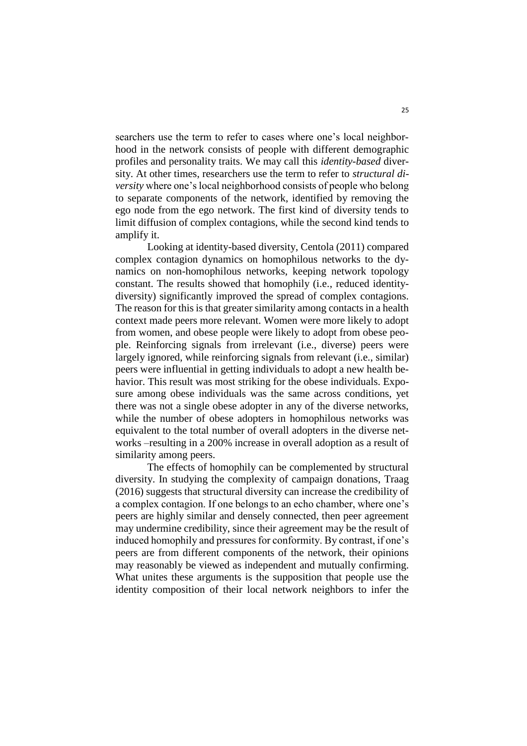searchers use the term to refer to cases where one's local neighborhood in the network consists of people with different demographic profiles and personality traits. We may call this *identity-based* diversity. At other times, researchers use the term to refer to *structural diversity* where one's local neighborhood consists of people who belong to separate components of the network, identified by removing the ego node from the ego network. The first kind of diversity tends to limit diffusion of complex contagions, while the second kind tends to amplify it.

Looking at identity-based diversity, Centola (2011) compared complex contagion dynamics on homophilous networks to the dynamics on non-homophilous networks, keeping network topology constant. The results showed that homophily (i.e., reduced identitydiversity) significantly improved the spread of complex contagions. The reason for this is that greater similarity among contacts in a health context made peers more relevant. Women were more likely to adopt from women, and obese people were likely to adopt from obese people. Reinforcing signals from irrelevant (i.e., diverse) peers were largely ignored, while reinforcing signals from relevant (i.e., similar) peers were influential in getting individuals to adopt a new health behavior. This result was most striking for the obese individuals. Exposure among obese individuals was the same across conditions, yet there was not a single obese adopter in any of the diverse networks, while the number of obese adopters in homophilous networks was equivalent to the total number of overall adopters in the diverse networks –resulting in a 200% increase in overall adoption as a result of similarity among peers.

The effects of homophily can be complemented by structural diversity. In studying the complexity of campaign donations, Traag (2016) suggests that structural diversity can increase the credibility of a complex contagion. If one belongs to an echo chamber, where one's peers are highly similar and densely connected, then peer agreement may undermine credibility, since their agreement may be the result of induced homophily and pressures for conformity. By contrast, if one's peers are from different components of the network, their opinions may reasonably be viewed as independent and mutually confirming. What unites these arguments is the supposition that people use the identity composition of their local network neighbors to infer the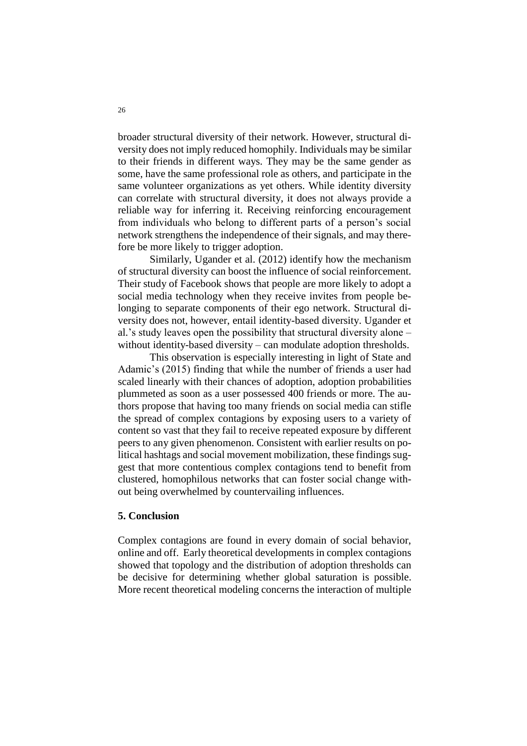broader structural diversity of their network. However, structural diversity does not imply reduced homophily. Individuals may be similar to their friends in different ways. They may be the same gender as some, have the same professional role as others, and participate in the same volunteer organizations as yet others. While identity diversity can correlate with structural diversity, it does not always provide a reliable way for inferring it. Receiving reinforcing encouragement from individuals who belong to different parts of a person's social network strengthens the independence of their signals, and may therefore be more likely to trigger adoption.

Similarly, Ugander et al. (2012) identify how the mechanism of structural diversity can boost the influence of social reinforcement. Their study of Facebook shows that people are more likely to adopt a social media technology when they receive invites from people belonging to separate components of their ego network. Structural diversity does not, however, entail identity-based diversity. Ugander et al.'s study leaves open the possibility that structural diversity alone – without identity-based diversity – can modulate adoption thresholds.

This observation is especially interesting in light of State and Adamic's (2015) finding that while the number of friends a user had scaled linearly with their chances of adoption, adoption probabilities plummeted as soon as a user possessed 400 friends or more. The authors propose that having too many friends on social media can stifle the spread of complex contagions by exposing users to a variety of content so vast that they fail to receive repeated exposure by different peers to any given phenomenon. Consistent with earlier results on political hashtags and social movement mobilization, these findings suggest that more contentious complex contagions tend to benefit from clustered, homophilous networks that can foster social change without being overwhelmed by countervailing influences.

### **5. Conclusion**

Complex contagions are found in every domain of social behavior, online and off. Early theoretical developments in complex contagions showed that topology and the distribution of adoption thresholds can be decisive for determining whether global saturation is possible. More recent theoretical modeling concerns the interaction of multiple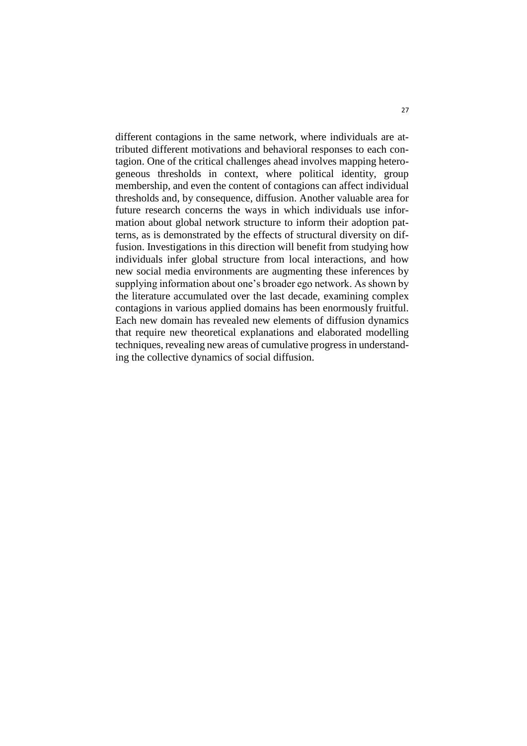different contagions in the same network, where individuals are attributed different motivations and behavioral responses to each contagion. One of the critical challenges ahead involves mapping heterogeneous thresholds in context, where political identity, group membership, and even the content of contagions can affect individual thresholds and, by consequence, diffusion. Another valuable area for future research concerns the ways in which individuals use information about global network structure to inform their adoption patterns, as is demonstrated by the effects of structural diversity on diffusion. Investigations in this direction will benefit from studying how individuals infer global structure from local interactions, and how new social media environments are augmenting these inferences by supplying information about one's broader ego network. As shown by the literature accumulated over the last decade, examining complex contagions in various applied domains has been enormously fruitful. Each new domain has revealed new elements of diffusion dynamics that require new theoretical explanations and elaborated modelling techniques, revealing new areas of cumulative progress in understanding the collective dynamics of social diffusion.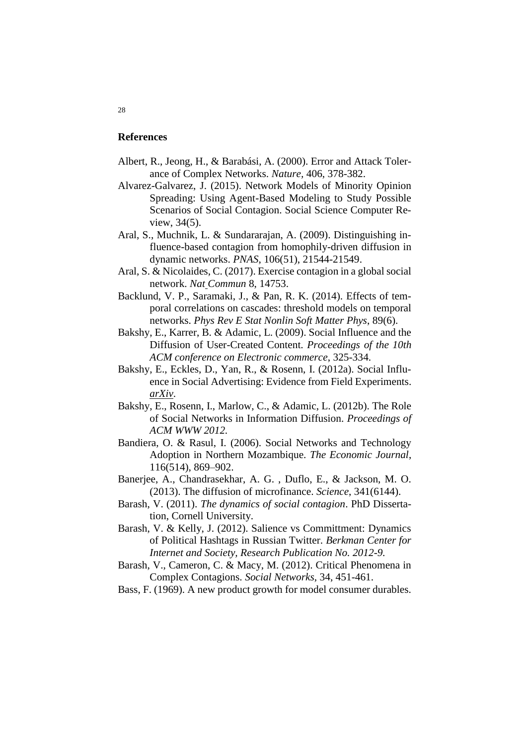#### **References**

- Albert, R., Jeong, H., & Barabási, A. (2000). Error and Attack Tolerance of Complex Networks. *Nature,* 406, 378-382.
- Alvarez-Galvarez, J. (2015). Network Models of Minority Opinion Spreading: Using Agent-Based Modeling to Study Possible Scenarios of Social Contagion. Social Science Computer Review, 34(5).
- Aral, S., Muchnik, L. & Sundararajan, A. (2009). Distinguishing influence-based contagion from homophily-driven diffusion in dynamic networks. *PNAS*, 106(51), 21544-21549.
- Aral, S. & Nicolaides, C. (2017). Exercise contagion in a global social network. *Nat Commun* 8, 14753.
- Backlund, V. P., Saramaki, J., & Pan, R. K. (2014). Effects of temporal correlations on cascades: threshold models on temporal networks. *Phys Rev E Stat Nonlin Soft Matter Phys*, 89(6).
- Bakshy, E., Karrer, B. & Adamic, L. (2009). Social Influence and the Diffusion of User-Created Content. *Proceedings of the 10th ACM conference on Electronic commerce*, 325-334.
- Bakshy, E., Eckles, D., Yan, R., & Rosenn, I. (2012a). Social Influence in Social Advertising: Evidence from Field Experiments. *arXiv*.
- Bakshy, E., Rosenn, I., Marlow, C., & Adamic, L. (2012b). The Role of Social Networks in Information Diffusion. *Proceedings of ACM WWW 2012.*
- Bandiera, O. & Rasul, I. (2006). Social Networks and Technology Adoption in Northern Mozambique. *The Economic Journal*, 116(514), 869–902.
- Banerjee, A., Chandrasekhar, A. G. , Duflo, E., & Jackson, M. O. (2013). The diffusion of microfinance. *Science*, 341(6144).
- Barash, V. (2011). *The dynamics of social contagion*. PhD Dissertation, Cornell University.
- Barash, V. & Kelly, J. (2012). Salience vs Committment: Dynamics of Political Hashtags in Russian Twitter. *Berkman Center for Internet and Society, Research Publication No. 2012-9.*
- Barash, V., Cameron, C. & Macy, M. (2012). Critical Phenomena in Complex Contagions. *Social Networks*, 34, 451-461.
- Bass, F. (1969). A new product growth for model consumer durables.

#### 28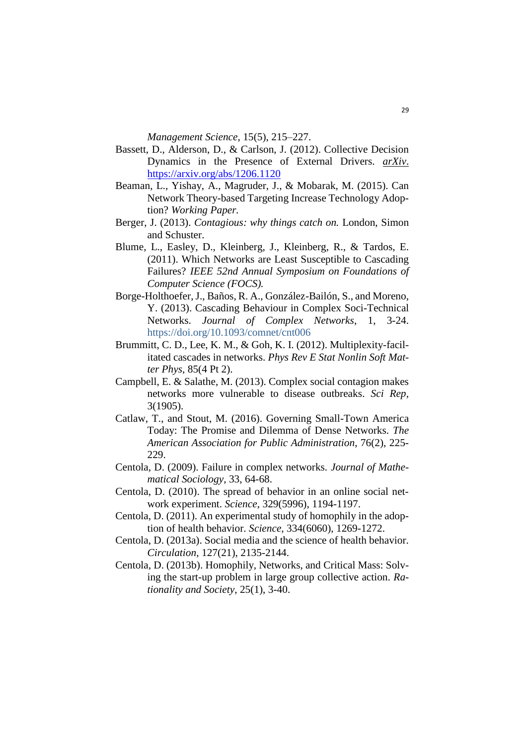*Management Science*, 15(5), 215–227.

- Bassett, D., Alderson, D., & Carlson, J. (2012). Collective Decision Dynamics in the Presence of External Drivers. *arXiv*. <https://arxiv.org/abs/1206.1120>
- Beaman, L., Yishay, A., Magruder, J., & Mobarak, M. (2015). Can Network Theory-based Targeting Increase Technology Adoption? *Working Paper.*
- Berger, J. (2013). *Contagious: why things catch on.* London, Simon and Schuster.
- Blume, L., Easley, D., Kleinberg, J., Kleinberg, R., & Tardos, E. (2011). Which Networks are Least Susceptible to Cascading Failures? *IEEE 52nd Annual Symposium on Foundations of Computer Science (FOCS).*
- Borge-Holthoefer, J., Baños, R. A., González-Bailón, S., and Moreno, Y. (2013). Cascading Behaviour in Complex Soci-Technical Networks. *Journal of Complex Networks*, 1, 3-24. https://doi.org/10.1093/comnet/cnt006
- Brummitt, C. D., Lee, K. M., & Goh, K. I. (2012). Multiplexity-facilitated cascades in networks. *Phys Rev E Stat Nonlin Soft Matter Phys*, 85(4 Pt 2).
- Campbell, E. & Salathe, M. (2013). Complex social contagion makes networks more vulnerable to disease outbreaks. *Sci Rep,*  3(1905).
- Catlaw, T., and Stout, M. (2016). Governing Small-Town America Today: The Promise and Dilemma of Dense Networks. *The American Association for Public Administration*, 76(2), 225- 229.
- Centola, D. (2009). Failure in complex networks. *Journal of Mathematical Sociology*, 33, 64-68.
- Centola, D. (2010). The spread of behavior in an online social network experiment. *Science*, 329(5996), 1194-1197.
- Centola, D. (2011). An experimental study of homophily in the adoption of health behavior. *Science,* 334(6060), 1269-1272.
- Centola, D. (2013a). Social media and the science of health behavior. *Circulation,* 127(21), 2135-2144.
- Centola, D. (2013b). Homophily, Networks, and Critical Mass: Solving the start-up problem in large group collective action. *Rationality and Society*, 25(1), 3-40.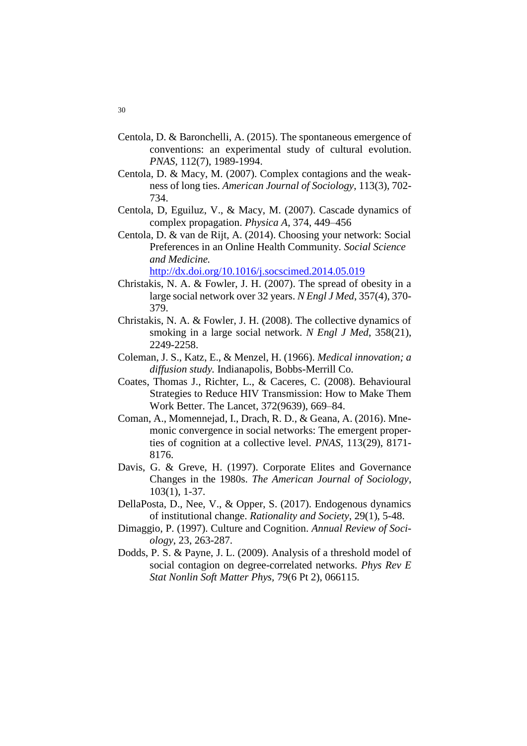- Centola, D. & Baronchelli, A. (2015). The spontaneous emergence of conventions: an experimental study of cultural evolution. *PNAS,* 112(7), 1989-1994.
- Centola, D. & Macy, M. (2007). Complex contagions and the weakness of long ties. *American Journal of Sociology*, 113(3), 702- 734.
- Centola, D, Eguiluz, V., & Macy, M. (2007). Cascade dynamics of complex propagation. *Physica A*, 374, 449–456
- Centola, D. & van de Rijt, A. (2014). Choosing your network: Social Preferences in an Online Health Community. *Social Science and Medicine.* <http://dx.doi.org/10.1016/j.socscimed.2014.05.019>

Christakis, N. A. & Fowler, J. H. (2007). The spread of obesity in a large social network over 32 years. *N Engl J Med*, 357(4), 370-

- 379. Christakis, N. A. & Fowler, J. H. (2008). The collective dynamics of smoking in a large social network. *N Engl J Med*, 358(21), 2249-2258.
- Coleman, J. S., Katz, E., & Menzel, H. (1966). *Medical innovation; a diffusion study.* Indianapolis, Bobbs-Merrill Co.
- Coates, Thomas J., Richter, L., & Caceres, C. (2008). Behavioural Strategies to Reduce HIV Transmission: How to Make Them Work Better. The Lancet, 372(9639), 669–84.
- Coman, A., Momennejad, I., Drach, R. D., & Geana, A. (2016). Mnemonic convergence in social networks: The emergent properties of cognition at a collective level. *PNAS*, 113(29), 8171- 8176.
- Davis, G. & Greve, H. (1997). Corporate Elites and Governance Changes in the 1980s. *The American Journal of Sociology*, 103(1), 1-37.
- DellaPosta, D., Nee, V., & Opper, S. (2017). Endogenous dynamics of institutional change. *Rationality and Society*, 29(1), 5-48.
- Dimaggio, P. (1997). Culture and Cognition. *Annual Review of Sociology*, 23, 263-287.
- Dodds, P. S. & Payne, J. L. (2009). Analysis of a threshold model of social contagion on degree-correlated networks. *Phys Rev E Stat Nonlin Soft Matter Phys,* 79(6 Pt 2), 066115.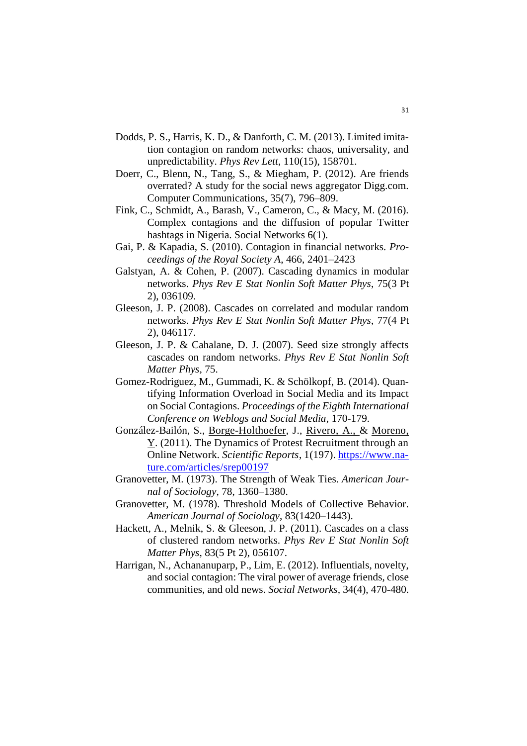- Dodds, P. S., Harris, K. D., & Danforth, C. M. (2013). Limited imitation contagion on random networks: chaos, universality, and unpredictability. *Phys Rev Lett*, 110(15), 158701.
- Doerr, C., Blenn, N., Tang, S., & Miegham, P. (2012). Are friends overrated? A study for the social news aggregator Digg.com. Computer Communications, 35(7), 796–809.
- Fink, C., Schmidt, A., Barash, V., Cameron, C., & Macy, M. (2016). Complex contagions and the diffusion of popular Twitter hashtags in Nigeria. Social Networks 6(1).
- Gai, P. & Kapadia, S. (2010). Contagion in financial networks*. Proceedings of the Royal Society A*, 466, 2401–2423
- Galstyan, A. & Cohen, P. (2007). Cascading dynamics in modular networks. *Phys Rev E Stat Nonlin Soft Matter Phys*, 75(3 Pt 2), 036109.
- Gleeson, J. P. (2008). Cascades on correlated and modular random networks. *Phys Rev E Stat Nonlin Soft Matter Phys*, 77(4 Pt 2), 046117.
- Gleeson, J. P. & Cahalane, D. J. (2007). Seed size strongly affects cascades on random networks. *Phys Rev E Stat Nonlin Soft Matter Phys*, 75.
- Gomez-Rodriguez, M., Gummadi, K. & Schölkopf, B. (2014). Quantifying Information Overload in Social Media and its Impact on Social Contagions. *Proceedings of the Eighth International Conference on Weblogs and Social Media*, 170-179.
- González-Bailón, S., [Borge-Holthoefer,](https://www.nature.com/articles/srep00197#auth-2) J., [Rivero,](https://www.nature.com/articles/srep00197#auth-3) A., & [Moreno,](https://www.nature.com/articles/srep00197#auth-4) Y. (2011). The Dynamics of Protest Recruitment through an Online Network. *Scientific Reports*, 1(197). [https://www.na](https://www.nature.com/articles/srep00197)[ture.com/articles/srep00197](https://www.nature.com/articles/srep00197)
- Granovetter, M. (1973). The Strength of Weak Ties. *American Journal of Sociology*, 78, 1360–1380.
- Granovetter, M. (1978). Threshold Models of Collective Behavior. *American Journal of Sociology*, 83(1420–1443).
- Hackett, A., Melnik, S. & Gleeson, J. P. (2011). Cascades on a class of clustered random networks. *Phys Rev E Stat Nonlin Soft Matter Phys*, 83(5 Pt 2), 056107.
- Harrigan, N., Achananuparp, P., Lim, E. (2012). Influentials, novelty, and social contagion: The viral power of average friends, close communities, and old news. *Social Networks,* 34(4), 470-480.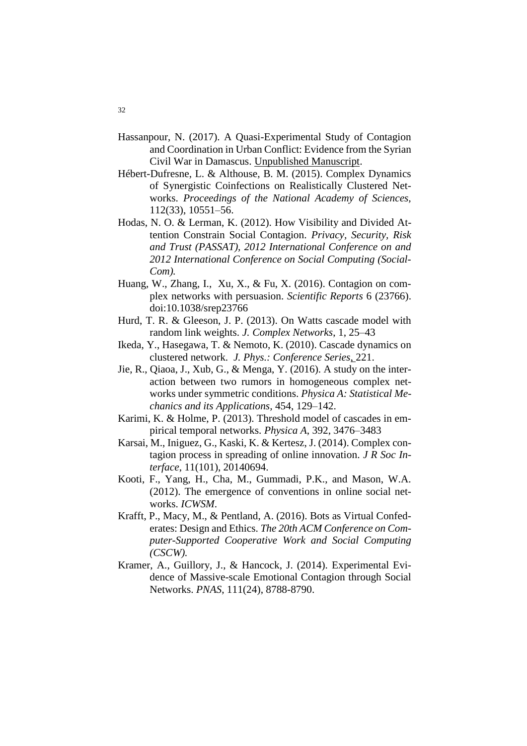- Hassanpour, N. (2017). A Quasi-Experimental Study of Contagion and Coordination in Urban Conflict: Evidence from the Syrian Civil War in Damascus. Unpublished Manuscript.
- Hébert-Dufresne, L. & Althouse, B. M. (2015). Complex Dynamics of Synergistic Coinfections on Realistically Clustered Networks. *Proceedings of the National Academy of Sciences,* 112(33), 10551–56.
- Hodas, N. O. & Lerman, K. (2012). How Visibility and Divided Attention Constrain Social Contagion. *Privacy, Security, Risk and Trust (PASSAT), 2012 International Conference on and 2012 International Conference on Social Computing (Social-Com).*
- Huang, W., Zhang, I., Xu, X., & Fu, X. (2016). Contagion on complex networks with persuasion. *Scientific Reports* 6 (23766). doi:10.1038/srep23766
- Hurd, T. R. & Gleeson, J. P. (2013). On Watts cascade model with random link weights. *J. Complex Networks*, 1, 25–43
- Ikeda, Y., Hasegawa, T. & Nemoto, K. (2010). Cascade dynamics on clustered network. *J. Phys.: Conference Series*, 221.
- Jie, R., Qiaoa, J., Xub, G., & Menga, Y. (2016). A study on the interaction between two rumors in homogeneous complex networks under symmetric conditions. *Physica A: Statistical Mechanics and its Applications,* 454, 129–142.
- Karimi, K. & Holme, P. (2013). Threshold model of cascades in empirical temporal networks. *Physica A*, 392, 3476–3483
- Karsai, M., Iniguez, G., Kaski, K. & Kertesz, J. (2014). Complex contagion process in spreading of online innovation. *J R Soc Interface*, 11(101), 20140694.
- Kooti, F., Yang, H., Cha, M., Gummadi, P.K., and Mason, W.A. (2012). The emergence of conventions in online social networks. *ICWSM*.
- Krafft, P., Macy, M., & Pentland, A. (2016). Bots as Virtual Confederates: Design and Ethics. *The 20th ACM Conference on Computer-Supported Cooperative Work and Social Computing (CSCW).*
- Kramer, A., Guillory, J., & Hancock, J. (2014). Experimental Evidence of Massive-scale Emotional Contagion through Social Networks. *PNAS*, 111(24), 8788-8790.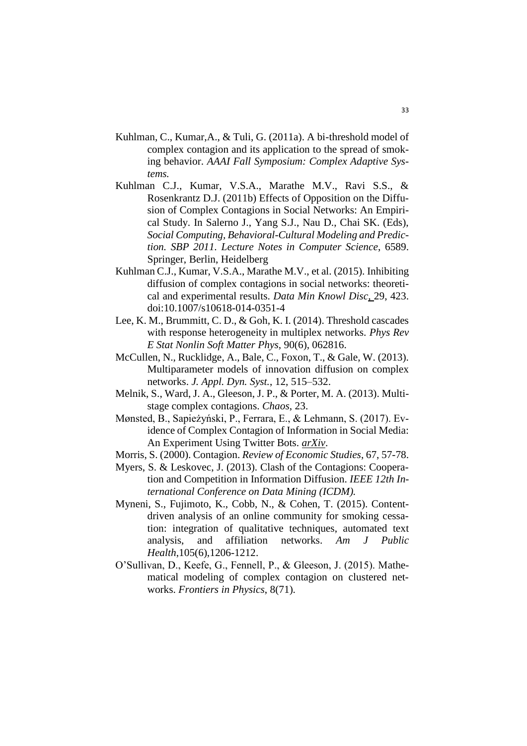- Kuhlman, C., Kumar,A., & Tuli, G. (2011a). A bi-threshold model of complex contagion and its application to the spread of smoking behavior. *AAAI Fall Symposium: Complex Adaptive Systems.*
- Kuhlman C.J., Kumar, V.S.A., Marathe M.V., Ravi S.S., & Rosenkrantz D.J. (2011b) Effects of Opposition on the Diffusion of Complex Contagions in Social Networks: An Empirical Study. In Salerno J., Yang S.J., Nau D., Chai SK. (Eds), *Social Computing, Behavioral-Cultural Modeling and Prediction. SBP 2011. Lecture Notes in Computer Science*, 6589. Springer, Berlin, Heidelberg
- Kuhlman C.J., Kumar, V.S.A., Marathe M.V., et al. (2015). Inhibiting diffusion of complex contagions in social networks: theoretical and experimental results. *Data Min Knowl Disc*, 29, 423. doi:10.1007/s10618-014-0351-4
- Lee, K. M., Brummitt, C. D., & Goh, K. I. (2014). Threshold cascades with response heterogeneity in multiplex networks. *Phys Rev E Stat Nonlin Soft Matter Phys*, 90(6), 062816.
- McCullen, N., Rucklidge, A., Bale, C., Foxon, T., & Gale, W. (2013). Multiparameter models of innovation diffusion on complex networks. *J. Appl. Dyn. Syst.*, 12, 515–532.
- Melnik, S., Ward, J. A., Gleeson, J. P., & Porter, M. A. (2013). Multistage complex contagions. *Chaos*, 23.
- Mønsted, B., Sapieżyński, P., Ferrara, E., & Lehmann, S. (2017). Evidence of Complex Contagion of Information in Social Media: An Experiment Using Twitter Bots. *arXiv*.
- Morris, S. (2000). Contagion. *Review of Economic Studies*, 67, 57-78.
- Myers, S. & Leskovec, J. (2013). Clash of the Contagions: Cooperation and Competition in Information Diffusion. *IEEE 12th International Conference on Data Mining (ICDM).*
- Myneni, S., Fujimoto, K., Cobb, N., & Cohen, T. (2015). Contentdriven analysis of an online community for smoking cessation: integration of qualitative techniques, automated text analysis, and affiliation networks. *Am J Public Health*,105(6),1206-1212.
- O'Sullivan, D., Keefe, G., Fennell, P., & Gleeson, J. (2015). Mathematical modeling of complex contagion on clustered networks. *Frontiers in Physics*, 8(71).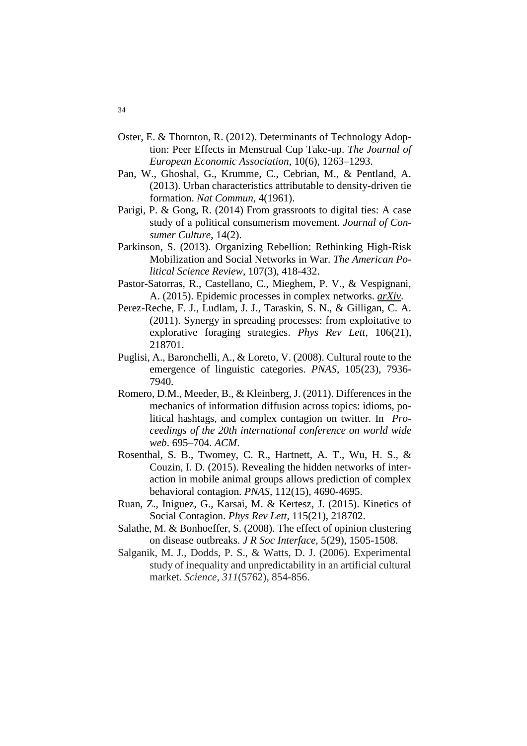- Oster, E. & Thornton, R. (2012). Determinants of Technology Adoption: Peer Effects in Menstrual Cup Take-up. *The Journal of European Economic Association*, 10(6), 1263–1293.
- Pan, W., Ghoshal, G., Krumme, C., Cebrian, M., & Pentland, A. (2013). Urban characteristics attributable to density-driven tie formation. *Nat Commun,* 4(1961).
- Parigi, P. & Gong, R. (2014) From grassroots to digital ties: A case study of a political consumerism movement. *Journal of Consumer Culture*, 14(2).
- Parkinson, S. (2013). Organizing Rebellion: Rethinking High-Risk Mobilization and Social Networks in War. *The American Political Science Review*, 107(3), 418-432.
- Pastor-Satorras, R., Castellano, C., Mieghem, P. V., & Vespignani, A. (2015). Epidemic processes in complex networks. *arXiv*.
- Perez-Reche, F. J., Ludlam, J. J., Taraskin, S. N., & Gilligan, C. A. (2011). Synergy in spreading processes: from exploitative to explorative foraging strategies. *Phys Rev Lett*, 106(21), 218701.
- Puglisi, A., Baronchelli, A., & Loreto, V. (2008). Cultural route to the emergence of linguistic categories. *PNAS*, 105(23), 7936- 7940.
- Romero, D.M., Meeder, B., & Kleinberg, J. (2011). Differences in the mechanics of information diffusion across topics: idioms, political hashtags, and complex contagion on twitter. In *Proceedings of the 20th international conference on world wide web*. 695–704. *ACM*.
- Rosenthal, S. B., Twomey, C. R., Hartnett, A. T., Wu, H. S., & Couzin, I. D. (2015). Revealing the hidden networks of interaction in mobile animal groups allows prediction of complex behavioral contagion. *PNAS,* 112(15), 4690-4695.
- Ruan, Z., Iniguez, G., Karsai, M. & Kertesz, J. (2015). Kinetics of Social Contagion. *Phys Rev Lett,* 115(21), 218702.
- Salathe, M. & Bonhoeffer, S. (2008). The effect of opinion clustering on disease outbreaks. *J R Soc Interface,* 5(29), 1505-1508.
- Salganik, M. J., Dodds, P. S., & Watts, D. J. (2006). Experimental study of inequality and unpredictability in an artificial cultural market. *Science*, *311*(5762), 854-856.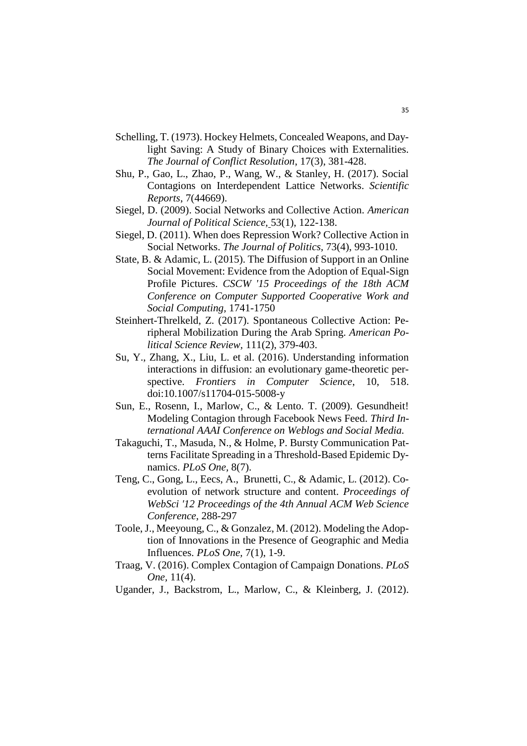- Schelling, T. (1973). Hockey Helmets, Concealed Weapons, and Daylight Saving: A Study of Binary Choices with Externalities. *The Journal of Conflict Resolution*, 17(3), 381-428.
- Shu, P., Gao, L., Zhao, P., Wang, W., & Stanley, H. (2017). Social Contagions on Interdependent Lattice Networks. *Scientific Reports*, 7(44669).
- Siegel, D. (2009). Social Networks and Collective Action. *American Journal of Political Science,* 53(1), 122-138.
- Siegel, D. (2011). When does Repression Work? Collective Action in Social Networks. *The Journal of Politics,* 73(4), 993-1010.
- State, B. & Adamic, L. (2015). The Diffusion of Support in an Online Social Movement: Evidence from the Adoption of Equal-Sign Profile Pictures. *CSCW '15 Proceedings of the 18th ACM Conference on Computer Supported Cooperative Work and Social Computing,* 1741-1750
- Steinhert-Threlkeld, Z. (2017). Spontaneous Collective Action: Peripheral Mobilization During the Arab Spring. *American Political Science Review,* 111(2), 379-403.
- Su, Y., Zhang, X., Liu, L. et al. (2016). Understanding information interactions in diffusion: an evolutionary game-theoretic perspective. *Frontiers in Computer Science*, 10, 518. doi:10.1007/s11704-015-5008-y
- Sun, E., Rosenn, I., Marlow, C., & Lento. T. (2009). Gesundheit! Modeling Contagion through Facebook News Feed. *Third International AAAI Conference on Weblogs and Social Media.*
- Takaguchi, T., Masuda, N., & Holme, P. Bursty Communication Patterns Facilitate Spreading in a Threshold-Based Epidemic Dynamics. *PLoS One,* 8(7).
- Teng, C., Gong, L., Eecs, A., Brunetti, C., & Adamic, L. (2012). Coevolution of network structure and content. *Proceedings of WebSci '12 Proceedings of the 4th Annual ACM Web Science Conference*, 288-297
- Toole, J., Meeyoung, C., & Gonzalez, M. (2012). Modeling the Adoption of Innovations in the Presence of Geographic and Media Influences. *PLoS One,* 7(1), 1-9.
- Traag, V. (2016). Complex Contagion of Campaign Donations. *PLoS One,* 11(4).
- Ugander, J., Backstrom, L., Marlow, C., & Kleinberg, J. (2012).